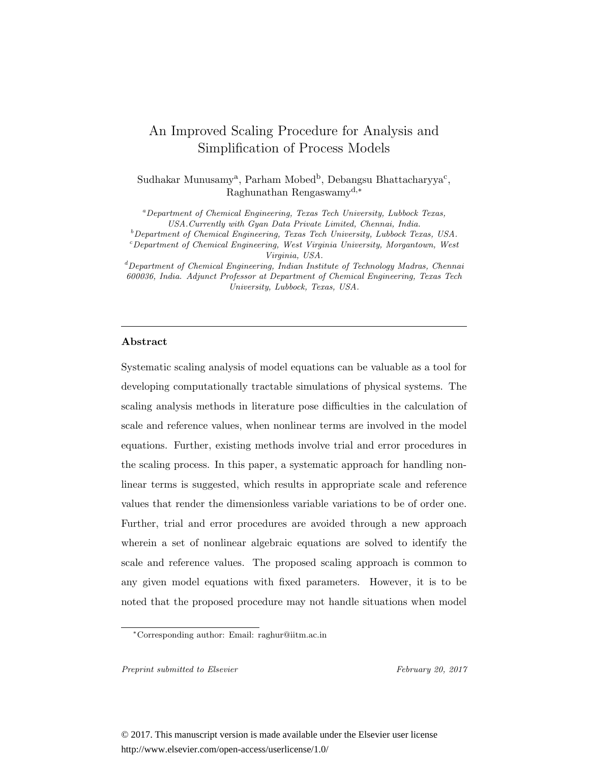# An Improved Scaling Procedure for Analysis and Simplification of Process Models

Sudhakar Munusamy<sup>a</sup>, Parham Mobed<sup>b</sup>, Debangsu Bhattacharyya<sup>c</sup>, Raghunathan Rengaswamyd,<sup>∗</sup>

<sup>a</sup>Department of Chemical Engineering, Texas Tech University, Lubbock Texas, USA.Currently with Gyan Data Private Limited, Chennai, India. <sup>b</sup>

Department of Chemical Engineering, Texas Tech University, Lubbock Texas, USA. <sup>c</sup> Department of Chemical Engineering, West Virginia University, Morgantown, West  $\label{eq:Virgin} Virginia, \; USA.$ <br> $^d$ Department of Chemical Engineering, Indian Institute of Technology Madras, Chennai

600036, India. Adjunct Professor at Department of Chemical Engineering, Texas Tech University, Lubbock, Texas, USA.

### **Abstract**

Systematic scaling analysis of model equations can be valuable as a tool for developing computationally tractable simulations of physical systems. The scaling analysis methods in literature pose difficulties in the calculation of scale and reference values, when nonlinear terms are involved in the model equations. Further, existing methods involve trial and error procedures in the scaling process. In this paper, a systematic approach for handling nonlinear terms is suggested, which results in appropriate scale and reference values that render the dimensionless variable variations to be of order one. Further, trial and error procedures are avoided through a new approach wherein a set of nonlinear algebraic equations are solved to identify the scale and reference values. The proposed scaling approach is common to any given model equations with fixed parameters. However, it is to be noted that the proposed procedure may not handle situations when model

Preprint submitted to Elsevier February 20, 2017

<sup>∗</sup>Corresponding author: Email: raghur@iitm.ac.in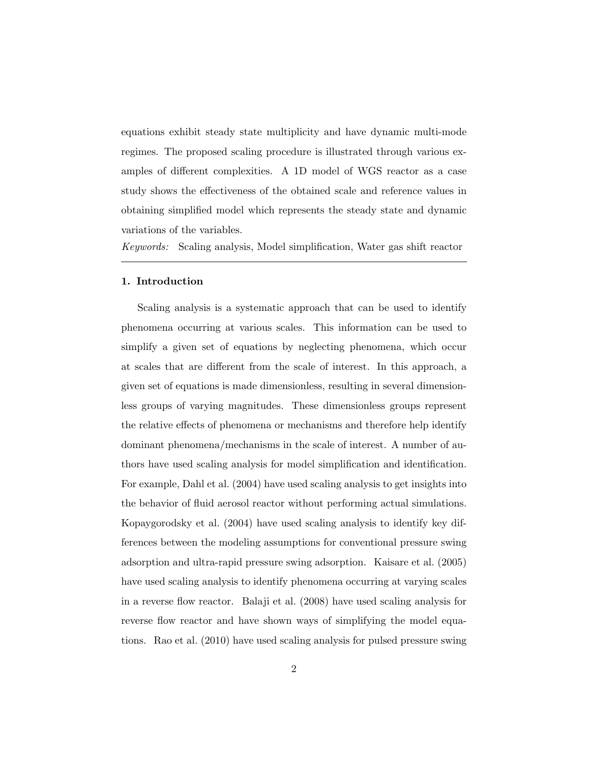equations exhibit steady state multiplicity and have dynamic multi-mode regimes. The proposed scaling procedure is illustrated through various examples of different complexities. A 1D model of WGS reactor as a case study shows the effectiveness of the obtained scale and reference values in obtaining simplified model which represents the steady state and dynamic variations of the variables.

Keywords: Scaling analysis, Model simplification, Water gas shift reactor

### **1. Introduction**

Scaling analysis is a systematic approach that can be used to identify phenomena occurring at various scales. This information can be used to simplify a given set of equations by neglecting phenomena, which occur at scales that are different from the scale of interest. In this approach, a given set of equations is made dimensionless, resulting in several dimensionless groups of varying magnitudes. These dimensionless groups represent the relative effects of phenomena or mechanisms and therefore help identify dominant phenomena/mechanisms in the scale of interest. A number of authors have used scaling analysis for model simplification and identification. For example, Dahl et al. (2004) have used scaling analysis to get insights into the behavior of fluid aerosol reactor without performing actual simulations. Kopaygorodsky et al. (2004) have used scaling analysis to identify key differences between the modeling assumptions for conventional pressure swing adsorption and ultra-rapid pressure swing adsorption. Kaisare et al. (2005) have used scaling analysis to identify phenomena occurring at varying scales in a reverse flow reactor. Balaji et al. (2008) have used scaling analysis for reverse flow reactor and have shown ways of simplifying the model equations. Rao et al. (2010) have used scaling analysis for pulsed pressure swing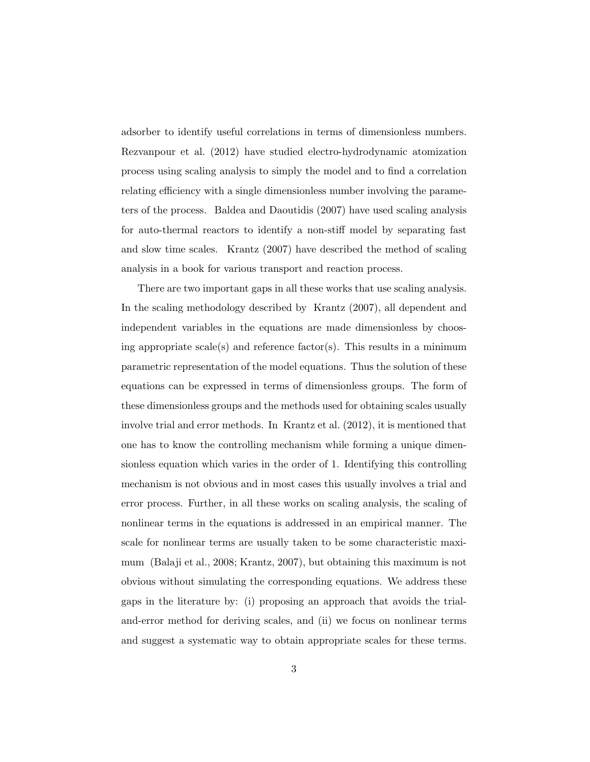adsorber to identify useful correlations in terms of dimensionless numbers. Rezvanpour et al. (2012) have studied electro-hydrodynamic atomization process using scaling analysis to simply the model and to find a correlation relating efficiency with a single dimensionless number involving the parameters of the process. Baldea and Daoutidis (2007) have used scaling analysis for auto-thermal reactors to identify a non-stiff model by separating fast and slow time scales. Krantz (2007) have described the method of scaling analysis in a book for various transport and reaction process.

There are two important gaps in all these works that use scaling analysis. In the scaling methodology described by Krantz (2007), all dependent and independent variables in the equations are made dimensionless by choosing appropriate scale(s) and reference factor(s). This results in a minimum parametric representation of the model equations. Thus the solution of these equations can be expressed in terms of dimensionless groups. The form of these dimensionless groups and the methods used for obtaining scales usually involve trial and error methods. In Krantz et al. (2012), it is mentioned that one has to know the controlling mechanism while forming a unique dimensionless equation which varies in the order of 1. Identifying this controlling mechanism is not obvious and in most cases this usually involves a trial and error process. Further, in all these works on scaling analysis, the scaling of nonlinear terms in the equations is addressed in an empirical manner. The scale for nonlinear terms are usually taken to be some characteristic maximum (Balaji et al., 2008; Krantz, 2007), but obtaining this maximum is not obvious without simulating the corresponding equations. We address these gaps in the literature by: (i) proposing an approach that avoids the trialand-error method for deriving scales, and (ii) we focus on nonlinear terms and suggest a systematic way to obtain appropriate scales for these terms.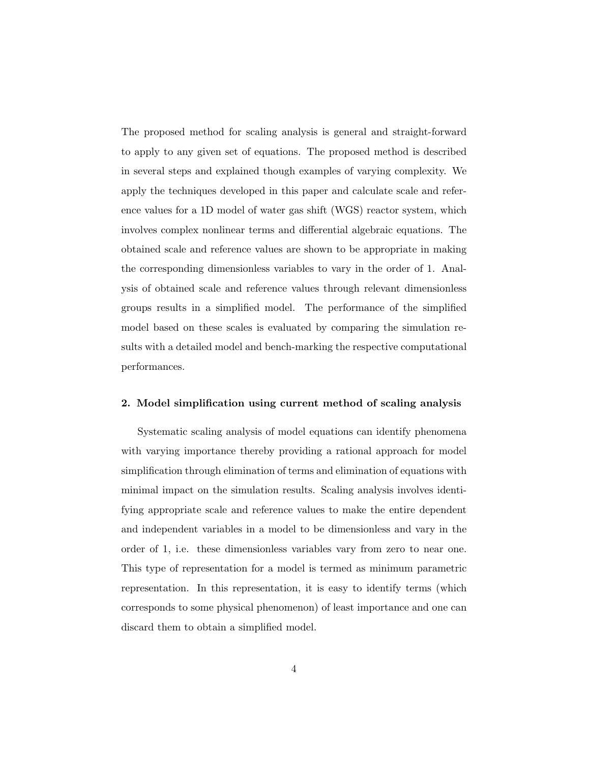The proposed method for scaling analysis is general and straight-forward to apply to any given set of equations. The proposed method is described in several steps and explained though examples of varying complexity. We apply the techniques developed in this paper and calculate scale and reference values for a 1D model of water gas shift (WGS) reactor system, which involves complex nonlinear terms and differential algebraic equations. The obtained scale and reference values are shown to be appropriate in making the corresponding dimensionless variables to vary in the order of 1. Analysis of obtained scale and reference values through relevant dimensionless groups results in a simplified model. The performance of the simplified model based on these scales is evaluated by comparing the simulation results with a detailed model and bench-marking the respective computational performances.

#### **2. Model simplification using current method of scaling analysis**

Systematic scaling analysis of model equations can identify phenomena with varying importance thereby providing a rational approach for model simplification through elimination of terms and elimination of equations with minimal impact on the simulation results. Scaling analysis involves identifying appropriate scale and reference values to make the entire dependent and independent variables in a model to be dimensionless and vary in the order of 1, i.e. these dimensionless variables vary from zero to near one. This type of representation for a model is termed as minimum parametric representation. In this representation, it is easy to identify terms (which corresponds to some physical phenomenon) of least importance and one can discard them to obtain a simplified model.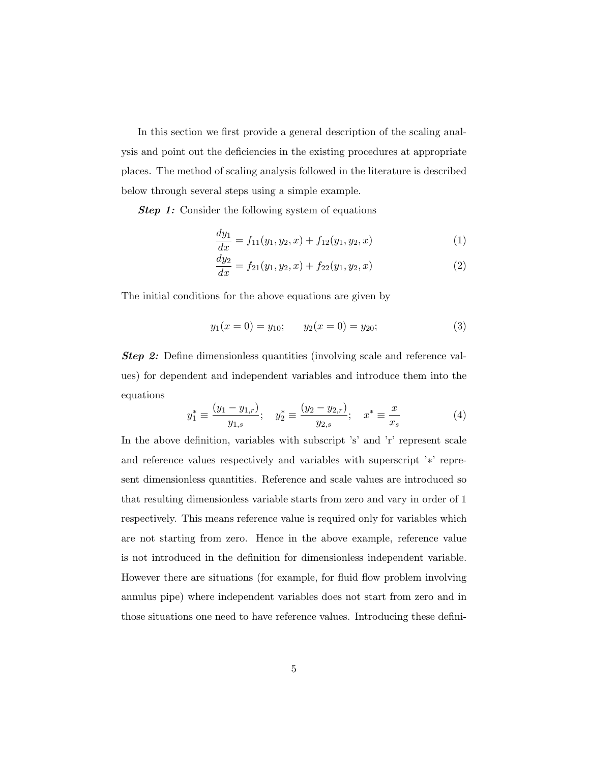In this section we first provide a general description of the scaling analysis and point out the deficiencies in the existing procedures at appropriate places. The method of scaling analysis followed in the literature is described below through several steps using a simple example.

**Step 1:** Consider the following system of equations

$$
\frac{dy_1}{dx} = f_{11}(y_1, y_2, x) + f_{12}(y_1, y_2, x) \tag{1}
$$

$$
\frac{dy_2}{dx} = f_{21}(y_1, y_2, x) + f_{22}(y_1, y_2, x) \tag{2}
$$

The initial conditions for the above equations are given by

$$
y_1(x = 0) = y_{10};
$$
  $y_2(x = 0) = y_{20};$  (3)

*Step 2:* Define dimensionless quantities (involving scale and reference values) for dependent and independent variables and introduce them into the equations

$$
y_1^* \equiv \frac{(y_1 - y_{1,r})}{y_{1,s}}; \quad y_2^* \equiv \frac{(y_2 - y_{2,r})}{y_{2,s}}; \quad x^* \equiv \frac{x}{x_s}
$$
 (4)

In the above definition, variables with subscript 's' and 'r' represent scale and reference values respectively and variables with superscript '∗' represent dimensionless quantities. Reference and scale values are introduced so that resulting dimensionless variable starts from zero and vary in order of 1 respectively. This means reference value is required only for variables which are not starting from zero. Hence in the above example, reference value is not introduced in the definition for dimensionless independent variable. However there are situations (for example, for fluid flow problem involving annulus pipe) where independent variables does not start from zero and in those situations one need to have reference values. Introducing these defini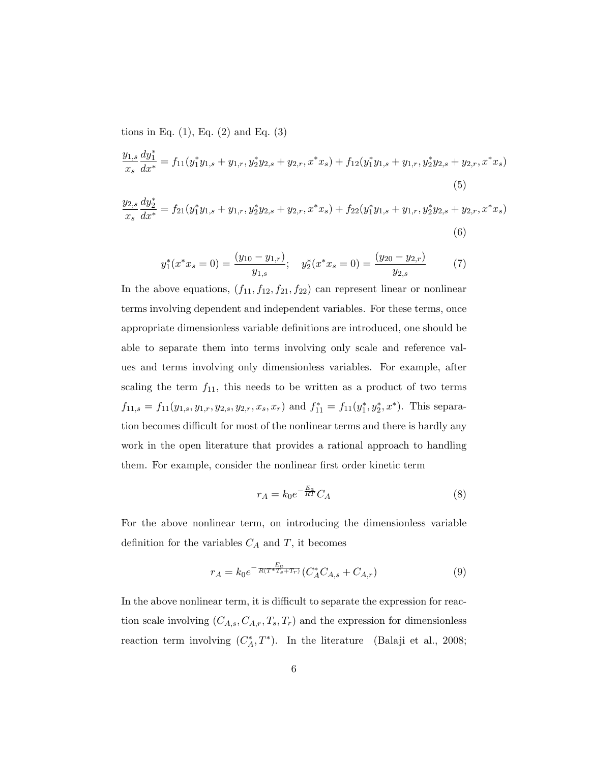tions in Eq.  $(1)$ , Eq.  $(2)$  and Eq.  $(3)$ 

$$
\frac{y_{1,s}}{x_s} \frac{dy_1^*}{dx^*} = f_{11}(y_1^* y_{1,s} + y_{1,r}, y_2^* y_{2,s} + y_{2,r}, x^* x_s) + f_{12}(y_1^* y_{1,s} + y_{1,r}, y_2^* y_{2,s} + y_{2,r}, x^* x_s)
$$
\n
$$
(5)
$$

$$
\frac{y_{2,s}}{x_s} \frac{dy_2^*}{dx^*} = f_{21}(y_1^* y_{1,s} + y_{1,r}, y_2^* y_{2,s} + y_{2,r}, x^* x_s) + f_{22}(y_1^* y_{1,s} + y_{1,r}, y_2^* y_{2,s} + y_{2,r}, x^* x_s)
$$
\n
$$
(6)
$$

$$
y_1^*(x^*x_s = 0) = \frac{(y_{10} - y_{1,r})}{y_{1,s}}; \quad y_2^*(x^*x_s = 0) = \frac{(y_{20} - y_{2,r})}{y_{2,s}} \tag{7}
$$

In the above equations,  $(f_{11}, f_{12}, f_{21}, f_{22})$  can represent linear or nonlinear terms involving dependent and independent variables. For these terms, once appropriate dimensionless variable definitions are introduced, one should be able to separate them into terms involving only scale and reference values and terms involving only dimensionless variables. For example, after scaling the term  $f_{11}$ , this needs to be written as a product of two terms  $f_{11,s} = f_{11}(y_{1,s}, y_{1,r}, y_{2,s}, y_{2,r}, x_s, x_r)$  and  $f_{11}^* = f_{11}(y_1^*, y_2^*, x^*)$ . This separation becomes difficult for most of the nonlinear terms and there is hardly any work in the open literature that provides a rational approach to handling them. For example, consider the nonlinear first order kinetic term

$$
r_A = k_0 e^{-\frac{E_a}{RT}} C_A \tag{8}
$$

For the above nonlinear term, on introducing the dimensionless variable definition for the variables  $C_A$  and T, it becomes

$$
r_A = k_0 e^{-\frac{E_a}{R(T^*T_s + T_r)}} (C_A^* C_{A,s} + C_{A,r})
$$
\n(9)

In the above nonlinear term, it is difficult to separate the expression for reaction scale involving  $(C_{A,s}, C_{A,r}, T_s, T_r)$  and the expression for dimensionless reaction term involving  $(C_A^*,T^*)$ . In the literature (Balaji et al., 2008;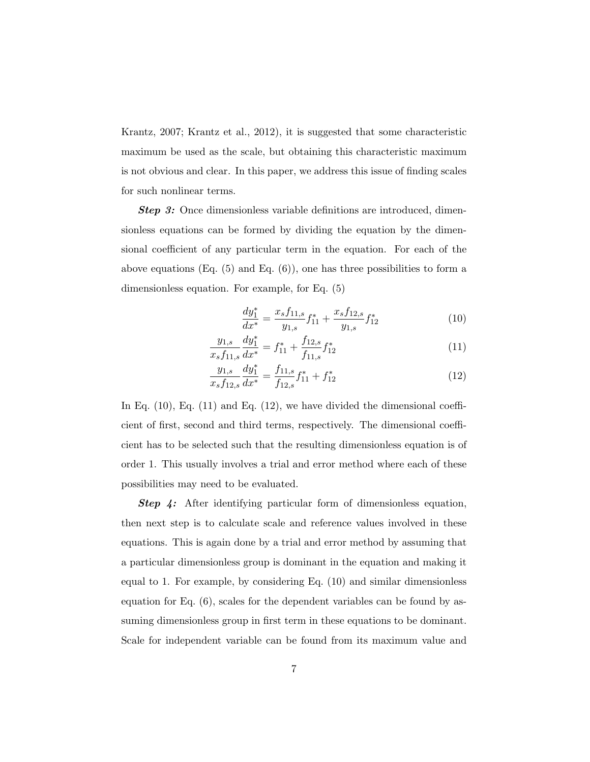Krantz, 2007; Krantz et al., 2012), it is suggested that some characteristic maximum be used as the scale, but obtaining this characteristic maximum is not obvious and clear. In this paper, we address this issue of finding scales for such nonlinear terms.

**Step 3:** Once dimensionless variable definitions are introduced, dimensionless equations can be formed by dividing the equation by the dimensional coefficient of any particular term in the equation. For each of the above equations (Eq.  $(5)$  and Eq.  $(6)$ ), one has three possibilities to form a dimensionless equation. For example, for Eq. (5)

$$
\frac{dy_1^*}{dx^*} = \frac{x_s f_{11,s}}{y_{1,s}} f_{11}^* + \frac{x_s f_{12,s}}{y_{1,s}} f_{12}^* \tag{10}
$$

$$
\frac{y_{1,s}}{x_s f_{11,s}} \frac{dy_1^*}{dx^*} = f_{11}^* + \frac{f_{12,s}}{f_{11,s}} f_{12}^* \tag{11}
$$

$$
\frac{y_{1,s}}{x_s f_{12,s}} \frac{dy_1^*}{dx^*} = \frac{f_{11,s}}{f_{12,s}} f_{11}^* + f_{12}^* \tag{12}
$$

In Eq.  $(10)$ , Eq.  $(11)$  and Eq.  $(12)$ , we have divided the dimensional coefficient of first, second and third terms, respectively. The dimensional coefficient has to be selected such that the resulting dimensionless equation is of order 1. This usually involves a trial and error method where each of these possibilities may need to be evaluated.

*Step 4:* After identifying particular form of dimensionless equation, then next step is to calculate scale and reference values involved in these equations. This is again done by a trial and error method by assuming that a particular dimensionless group is dominant in the equation and making it equal to 1. For example, by considering Eq. (10) and similar dimensionless equation for Eq. (6), scales for the dependent variables can be found by assuming dimensionless group in first term in these equations to be dominant. Scale for independent variable can be found from its maximum value and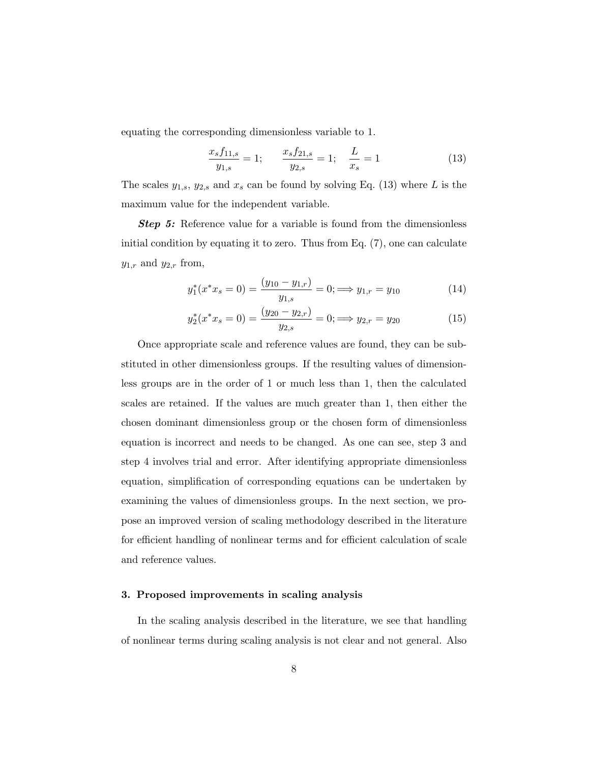equating the corresponding dimensionless variable to 1.

$$
\frac{x_s f_{11,s}}{y_{1,s}} = 1; \qquad \frac{x_s f_{21,s}}{y_{2,s}} = 1; \quad \frac{L}{x_s} = 1 \tag{13}
$$

The scales  $y_{1,s}$ ,  $y_{2,s}$  and  $x_s$  can be found by solving Eq. (13) where L is the maximum value for the independent variable.

**Step 5:** Reference value for a variable is found from the dimensionless initial condition by equating it to zero. Thus from Eq. (7), one can calculate  $y_{1,r}$  and  $y_{2,r}$  from,

$$
y_1^*(x^*x_s = 0) = \frac{(y_{10} - y_{1,r})}{y_{1,s}} = 0; \implies y_{1,r} = y_{10}
$$
 (14)

$$
y_2^*(x^*x_s = 0) = \frac{(y_{20} - y_{2,r})}{y_{2,s}} = 0; \implies y_{2,r} = y_{20}
$$
 (15)

Once appropriate scale and reference values are found, they can be substituted in other dimensionless groups. If the resulting values of dimensionless groups are in the order of 1 or much less than 1, then the calculated scales are retained. If the values are much greater than 1, then either the chosen dominant dimensionless group or the chosen form of dimensionless equation is incorrect and needs to be changed. As one can see, step 3 and step 4 involves trial and error. After identifying appropriate dimensionless equation, simplification of corresponding equations can be undertaken by examining the values of dimensionless groups. In the next section, we propose an improved version of scaling methodology described in the literature for efficient handling of nonlinear terms and for efficient calculation of scale and reference values.

### **3. Proposed improvements in scaling analysis**

In the scaling analysis described in the literature, we see that handling of nonlinear terms during scaling analysis is not clear and not general. Also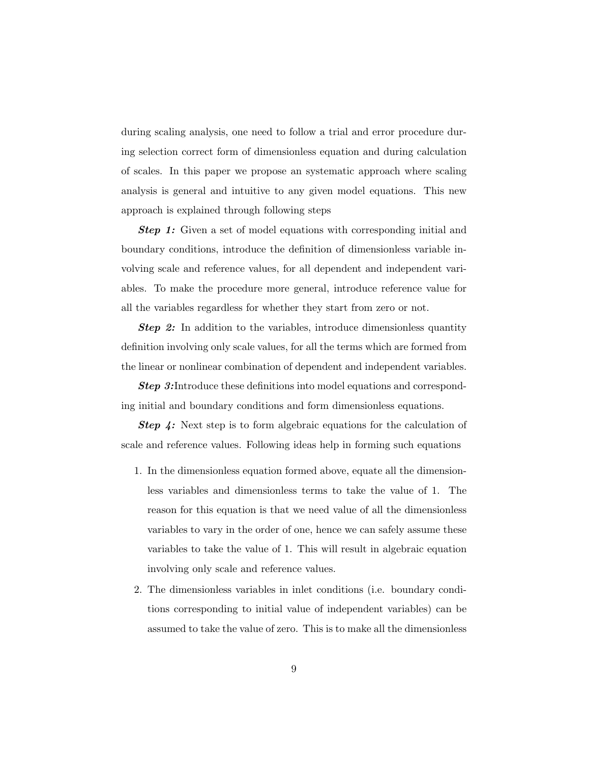during scaling analysis, one need to follow a trial and error procedure during selection correct form of dimensionless equation and during calculation of scales. In this paper we propose an systematic approach where scaling analysis is general and intuitive to any given model equations. This new approach is explained through following steps

**Step 1:** Given a set of model equations with corresponding initial and boundary conditions, introduce the definition of dimensionless variable involving scale and reference values, for all dependent and independent variables. To make the procedure more general, introduce reference value for all the variables regardless for whether they start from zero or not.

**Step 2:** In addition to the variables, introduce dimensionless quantity definition involving only scale values, for all the terms which are formed from the linear or nonlinear combination of dependent and independent variables.

**Step 3:**Introduce these definitions into model equations and corresponding initial and boundary conditions and form dimensionless equations.

**Step 4:** Next step is to form algebraic equations for the calculation of scale and reference values. Following ideas help in forming such equations

- 1. In the dimensionless equation formed above, equate all the dimensionless variables and dimensionless terms to take the value of 1. The reason for this equation is that we need value of all the dimensionless variables to vary in the order of one, hence we can safely assume these variables to take the value of 1. This will result in algebraic equation involving only scale and reference values.
- 2. The dimensionless variables in inlet conditions (i.e. boundary conditions corresponding to initial value of independent variables) can be assumed to take the value of zero. This is to make all the dimensionless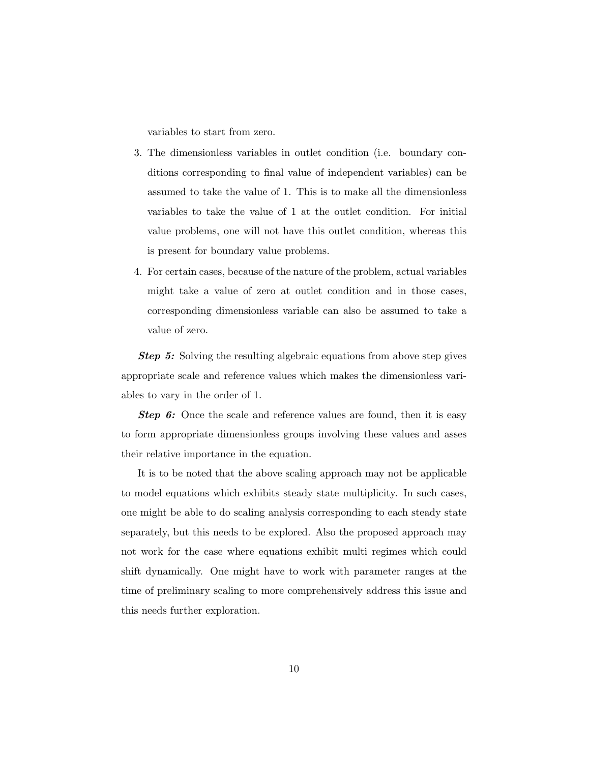variables to start from zero.

- 3. The dimensionless variables in outlet condition (i.e. boundary conditions corresponding to final value of independent variables) can be assumed to take the value of 1. This is to make all the dimensionless variables to take the value of 1 at the outlet condition. For initial value problems, one will not have this outlet condition, whereas this is present for boundary value problems.
- 4. For certain cases, because of the nature of the problem, actual variables might take a value of zero at outlet condition and in those cases, corresponding dimensionless variable can also be assumed to take a value of zero.

*Step 5:* Solving the resulting algebraic equations from above step gives appropriate scale and reference values which makes the dimensionless variables to vary in the order of 1.

**Step 6:** Once the scale and reference values are found, then it is easy to form appropriate dimensionless groups involving these values and asses their relative importance in the equation.

It is to be noted that the above scaling approach may not be applicable to model equations which exhibits steady state multiplicity. In such cases, one might be able to do scaling analysis corresponding to each steady state separately, but this needs to be explored. Also the proposed approach may not work for the case where equations exhibit multi regimes which could shift dynamically. One might have to work with parameter ranges at the time of preliminary scaling to more comprehensively address this issue and this needs further exploration.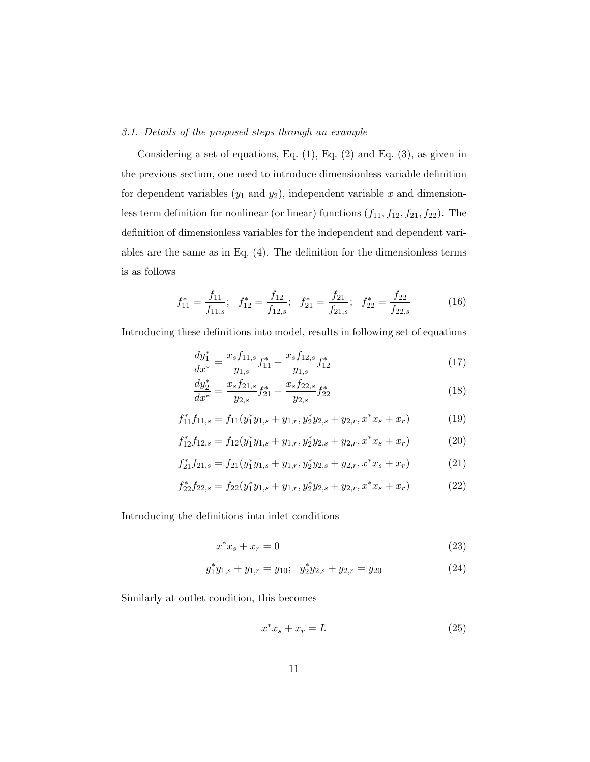## 3.1. Details of the proposed steps through an example

Considering a set of equations, Eq.  $(1)$ , Eq.  $(2)$  and Eq.  $(3)$ , as given in the previous section, one need to introduce dimensionless variable definition for dependent variables  $(y_1 \text{ and } y_2)$ , independent variable x and dimensionless term definition for nonlinear (or linear) functions  $(f_{11}, f_{12}, f_{21}, f_{22})$ . The definition of dimensionless variables for the independent and dependent variables are the same as in Eq. (4). The definition for the dimensionless terms is as follows

$$
f_{11}^* = \frac{f_{11}}{f_{11,s}}; \quad f_{12}^* = \frac{f_{12}}{f_{12,s}}; \quad f_{21}^* = \frac{f_{21}}{f_{21,s}}; \quad f_{22}^* = \frac{f_{22}}{f_{22,s}} \tag{16}
$$

Introducing these definitions into model, results in following set of equations

$$
\frac{dy_1^*}{dx^*} = \frac{x_s f_{11,s}}{y_{1,s}} f_{11}^* + \frac{x_s f_{12,s}}{y_{1,s}} f_{12}^* \tag{17}
$$

$$
\frac{dy_2^*}{dx^*} = \frac{x_s f_{21,s}}{y_{2,s}} f_{21}^* + \frac{x_s f_{22,s}}{y_{2,s}} f_{22}^* \tag{18}
$$

$$
f_{11}^* f_{11,s} = f_{11}(y_1^* y_{1,s} + y_{1,r}, y_2^* y_{2,s} + y_{2,r}, x^* x_s + x_r)
$$
(19)

$$
f_{12}^* f_{12,s} = f_{12}(y_1^* y_{1,s} + y_{1,r}, y_2^* y_{2,s} + y_{2,r}, x^* x_s + x_r)
$$
 (20)

$$
f_{21}^* f_{21,s} = f_{21}(y_1^* y_{1,s} + y_{1,r}, y_2^* y_{2,s} + y_{2,r}, x^* x_s + x_r)
$$
 (21)

$$
f_{22}^* f_{22,s} = f_{22}(y_1^* y_{1,s} + y_{1,r}, y_2^* y_{2,s} + y_{2,r}, x^* x_s + x_r)
$$
 (22)

Introducing the definitions into inlet conditions

$$
x^*x_s + x_r = 0 \tag{23}
$$

$$
y_1^* y_{1,s} + y_{1,r} = y_{10}; \ \ y_2^* y_{2,s} + y_{2,r} = y_{20}
$$
 (24)

Similarly at outlet condition, this becomes

$$
x^*x_s + x_r = L \tag{25}
$$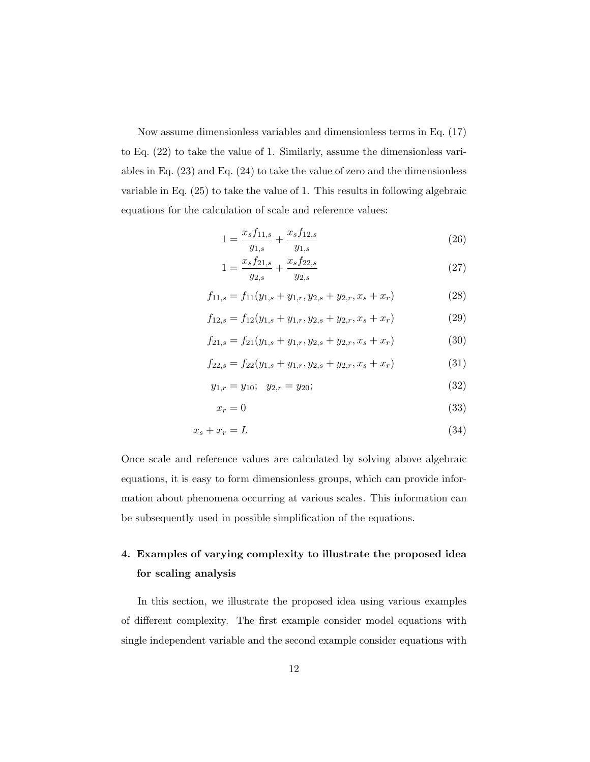Now assume dimensionless variables and dimensionless terms in Eq. (17) to Eq. (22) to take the value of 1. Similarly, assume the dimensionless variables in Eq. (23) and Eq. (24) to take the value of zero and the dimensionless variable in Eq. (25) to take the value of 1. This results in following algebraic equations for the calculation of scale and reference values:

$$
1 = \frac{x_s f_{11,s}}{y_{1,s}} + \frac{x_s f_{12,s}}{y_{1,s}}\tag{26}
$$

$$
1 = \frac{x_s f_{21,s}}{y_{2,s}} + \frac{x_s f_{22,s}}{y_{2,s}}\tag{27}
$$

$$
f_{11,s} = f_{11}(y_{1,s} + y_{1,r}, y_{2,s} + y_{2,r}, x_s + x_r)
$$
 (28)

$$
f_{12,s} = f_{12}(y_{1,s} + y_{1,r}, y_{2,s} + y_{2,r}, x_s + x_r)
$$
 (29)

$$
f_{21,s} = f_{21}(y_{1,s} + y_{1,r}, y_{2,s} + y_{2,r}, x_s + x_r)
$$
 (30)

$$
f_{22,s} = f_{22}(y_{1,s} + y_{1,r}, y_{2,s} + y_{2,r}, x_s + x_r)
$$
 (31)

$$
y_{1,r} = y_{10}; \quad y_{2,r} = y_{20}; \tag{32}
$$

$$
x_r = 0 \tag{33}
$$

$$
x_s + x_r = L \tag{34}
$$

Once scale and reference values are calculated by solving above algebraic equations, it is easy to form dimensionless groups, which can provide information about phenomena occurring at various scales. This information can be subsequently used in possible simplification of the equations.

# **4. Examples of varying complexity to illustrate the proposed idea for scaling analysis**

In this section, we illustrate the proposed idea using various examples of different complexity. The first example consider model equations with single independent variable and the second example consider equations with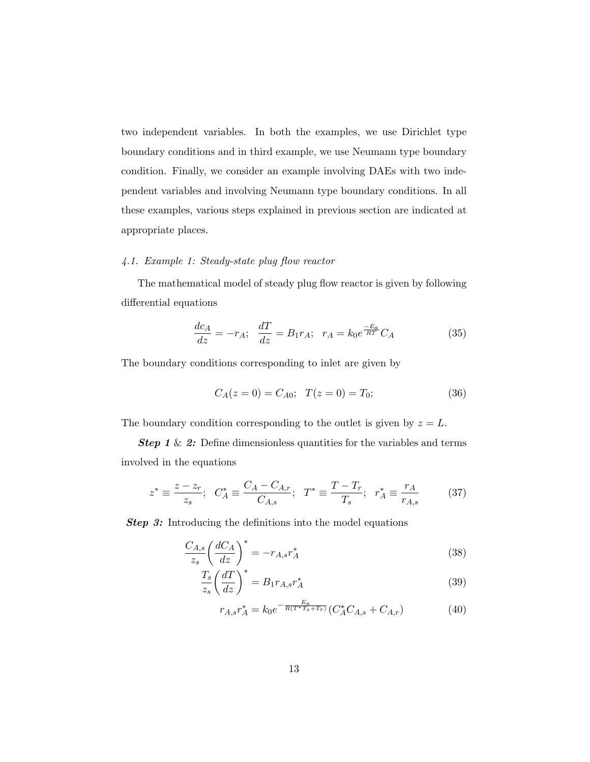two independent variables. In both the examples, we use Dirichlet type boundary conditions and in third example, we use Neumann type boundary condition. Finally, we consider an example involving DAEs with two independent variables and involving Neumann type boundary conditions. In all these examples, various steps explained in previous section are indicated at appropriate places.

## 4.1. Example 1: Steady-state plug flow reactor

The mathematical model of steady plug flow reactor is given by following differential equations

$$
\frac{dc_A}{dz} = -r_A; \quad \frac{dT}{dz} = B_1 r_A; \quad r_A = k_0 e^{\frac{-E_a}{RT}} C_A \tag{35}
$$

The boundary conditions corresponding to inlet are given by

$$
C_A(z=0) = C_{A0}; \quad T(z=0) = T_0; \tag{36}
$$

The boundary condition corresponding to the outlet is given by  $z = L$ .

**Step 1** & 2: Define dimensionless quantities for the variables and terms involved in the equations

$$
z^* \equiv \frac{z - z_r}{z_s}; \ \ C_A^* \equiv \frac{C_A - C_{A,r}}{C_{A,s}}; \ \ T^* \equiv \frac{T - T_r}{T_s}; \ \ r_A^* \equiv \frac{r_A}{r_{A,s}} \tag{37}
$$

**Step 3:** Introducing the definitions into the model equations

$$
\frac{C_{A,s}}{z_s} \left(\frac{dC_A}{dz}\right)^* = -r_{A,s} r_A^* \tag{38}
$$

$$
\frac{T_s}{z_s} \left(\frac{dT}{dz}\right)^* = B_1 r_{A,s} r_A^* \tag{39}
$$

$$
r_{A,s}r_A^* = k_0 e^{-\frac{E_a}{R(T^*T_s + T_r)}} (C_A^* C_{A,s} + C_{A,r})
$$
(40)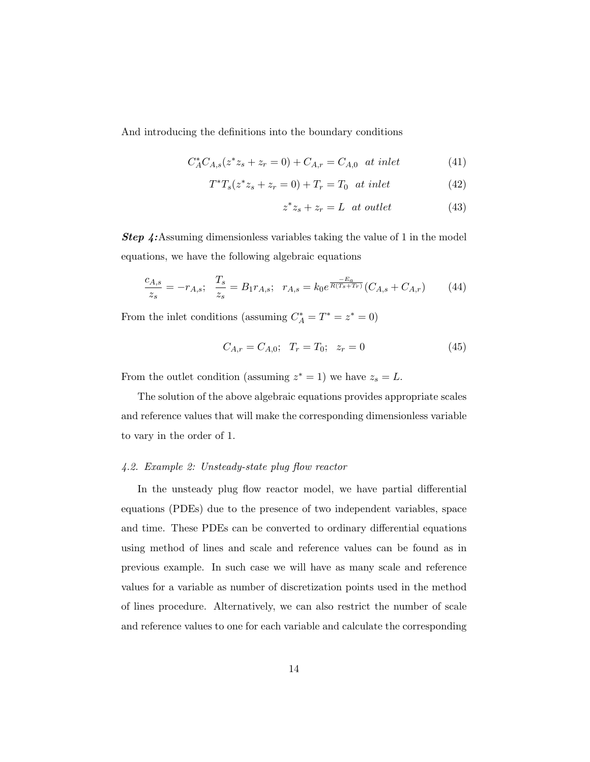And introducing the definitions into the boundary conditions

$$
C_A^* C_{A,s} (z^* z_s + z_r = 0) + C_{A,r} = C_{A,0} \text{ at inlet} \tag{41}
$$

$$
T^*T_s(z^*z_s + z_r = 0) + T_r = T_0 \text{ at inlet} \tag{42}
$$

$$
z^*z_s + z_r = L \quad at \quad outlet \tag{43}
$$

*Step 4:*Assuming dimensionless variables taking the value of 1 in the model equations, we have the following algebraic equations

$$
\frac{c_{A,s}}{z_s} = -r_{A,s}; \quad \frac{T_s}{z_s} = B_1 r_{A,s}; \quad r_{A,s} = k_0 e^{\frac{-E_a}{R(T_s + T_r)}} (C_{A,s} + C_{A,r}) \tag{44}
$$

From the inlet conditions (assuming  $C_A^* = T^* = z^* = 0$ )

$$
C_{A,r} = C_{A,0}; \quad T_r = T_0; \quad z_r = 0 \tag{45}
$$

From the outlet condition (assuming  $z^* = 1$ ) we have  $z_s = L$ .

The solution of the above algebraic equations provides appropriate scales and reference values that will make the corresponding dimensionless variable to vary in the order of 1.

### 4.2. Example 2: Unsteady-state plug flow reactor

In the unsteady plug flow reactor model, we have partial differential equations (PDEs) due to the presence of two independent variables, space and time. These PDEs can be converted to ordinary differential equations using method of lines and scale and reference values can be found as in previous example. In such case we will have as many scale and reference values for a variable as number of discretization points used in the method of lines procedure. Alternatively, we can also restrict the number of scale and reference values to one for each variable and calculate the corresponding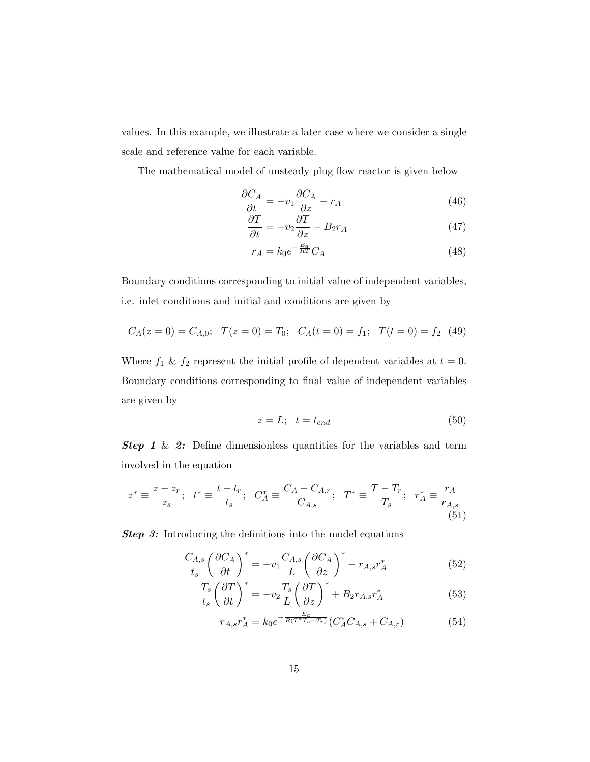values. In this example, we illustrate a later case where we consider a single scale and reference value for each variable.

The mathematical model of unsteady plug flow reactor is given below

$$
\frac{\partial C_A}{\partial t} = -v_1 \frac{\partial C_A}{\partial z} - r_A \tag{46}
$$
\n
$$
\frac{\partial T}{\partial t} = -v_1 \frac{\partial C_A}{\partial z} - r_A \tag{47}
$$

$$
\frac{\partial T}{\partial t} = -v_2 \frac{\partial T}{\partial z} + B_2 r_A \tag{47}
$$

$$
r_A = k_0 e^{-\frac{E_a}{RT}} C_A \tag{48}
$$

Boundary conditions corresponding to initial value of independent variables, i.e. inlet conditions and initial and conditions are given by

$$
C_A(z=0) = C_{A,0}; \quad T(z=0) = T_0; \quad C_A(t=0) = f_1; \quad T(t=0) = f_2 \tag{49}
$$

Where  $f_1 \& f_2$  represent the initial profile of dependent variables at  $t = 0$ . Boundary conditions corresponding to final value of independent variables are given by

$$
z = L; \quad t = t_{end} \tag{50}
$$

**Step 1** & 2: Define dimensionless quantities for the variables and term involved in the equation

$$
z^* \equiv \frac{z - z_r}{z_s}; \quad t^* \equiv \frac{t - t_r}{t_s}; \quad C_A^* \equiv \frac{C_A - C_{A,r}}{C_{A,s}}; \quad T^* \equiv \frac{T - T_r}{T_s}; \quad r_A^* \equiv \frac{r_A}{r_{A,s}} \tag{51}
$$

**Step 3:** Introducing the definitions into the model equations

$$
\frac{C_{A,s}}{t_s} \left(\frac{\partial C_A}{\partial t}\right)^* = -v_1 \frac{C_{A,s}}{L} \left(\frac{\partial C_A}{\partial z}\right)^* - r_{A,s} r_A^* \tag{52}
$$

$$
\frac{T_s}{t_s} \left(\frac{\partial T}{\partial t}\right)^* = -v_2 \frac{T_s}{L} \left(\frac{\partial T}{\partial z}\right)^* + B_2 r_{A,s} r_A^* \tag{53}
$$

$$
r_{A,s}r_A^* = k_0 e^{-\frac{E_a}{R(T^*T_s + T_r)}} (C_A^* C_{A,s} + C_{A,r})
$$
(54)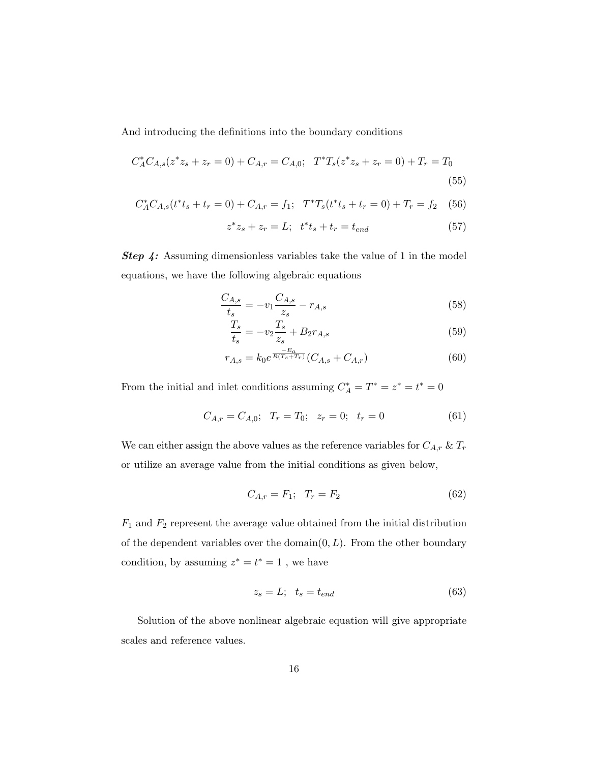And introducing the definitions into the boundary conditions

$$
C_A^* C_{A,s}(z^* z_s + z_r = 0) + C_{A,r} = C_{A,0}; \quad T^* T_s(z^* z_s + z_r = 0) + T_r = T_0
$$
\n(55)

$$
C_A^* C_{A,s}(t^* t_s + t_r = 0) + C_{A,r} = f_1; \quad T^* T_s(t^* t_s + t_r = 0) + T_r = f_2 \quad (56)
$$

$$
z^*z_s + z_r = L; \t t^*t_s + t_r = t_{end}
$$
 (57)

*Step 4:* Assuming dimensionless variables take the value of 1 in the model equations, we have the following algebraic equations

$$
\frac{C_{A,s}}{t_s} = -v_1 \frac{C_{A,s}}{z_s} - r_{A,s} \tag{58}
$$

$$
\frac{T_s}{t_s} = -v_2 \frac{T_s}{z_s} + B_2 r_{A,s} \tag{59}
$$

$$
r_{A,s} = k_0 e^{\frac{-E_a}{R(T_s + T_r)}} (C_{A,s} + C_{A,r})
$$
\n(60)

From the initial and inlet conditions assuming  $C_A^* = T^* = z^* = t^* = 0$ 

$$
C_{A,r} = C_{A,0}; \quad T_r = T_0; \quad z_r = 0; \quad t_r = 0 \tag{61}
$$

We can either assign the above values as the reference variables for  $C_{A,r}$  &  $T_r$ or utilize an average value from the initial conditions as given below,

$$
C_{A,r} = F_1; \quad T_r = F_2 \tag{62}
$$

 $F_1$  and  $F_2$  represent the average value obtained from the initial distribution of the dependent variables over the domain $(0, L)$ . From the other boundary condition, by assuming  $z^* = t^* = 1$ , we have

$$
z_s = L; \quad t_s = t_{end} \tag{63}
$$

Solution of the above nonlinear algebraic equation will give appropriate scales and reference values.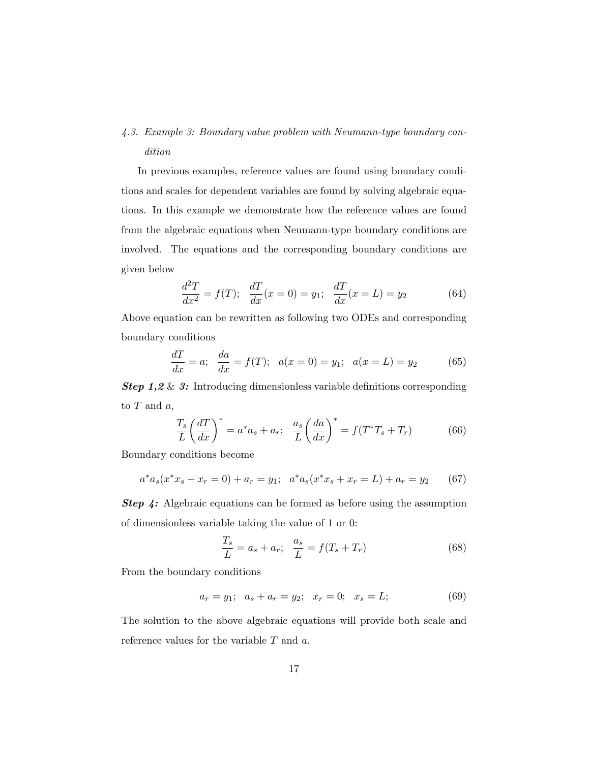# 4.3. Example 3: Boundary value problem with Neumann-type boundary condition

In previous examples, reference values are found using boundary conditions and scales for dependent variables are found by solving algebraic equations. In this example we demonstrate how the reference values are found from the algebraic equations when Neumann-type boundary conditions are involved. The equations and the corresponding boundary conditions are given below

$$
\frac{d^2T}{dx^2} = f(T); \quad \frac{dT}{dx}(x=0) = y_1; \quad \frac{dT}{dx}(x=L) = y_2 \tag{64}
$$

Above equation can be rewritten as following two ODEs and corresponding boundary conditions

$$
\frac{dT}{dx} = a; \quad \frac{da}{dx} = f(T); \quad a(x = 0) = y_1; \quad a(x = L) = y_2 \tag{65}
$$

*Step 1,2* & *3:* Introducing dimensionless variable definitions corresponding to  $T$  and  $a$ ,

$$
\frac{T_s}{L} \left(\frac{dT}{dx}\right)^* = a^* a_s + a_r; \quad \frac{a_s}{L} \left(\frac{da}{dx}\right)^* = f(T^* T_s + T_r) \tag{66}
$$

Boundary conditions become

$$
a^*a_s(x^*x_s + x_r = 0) + a_r = y_1; \quad a^*a_s(x^*x_s + x_r = L) + a_r = y_2 \tag{67}
$$

*Step 4:* Algebraic equations can be formed as before using the assumption of dimensionless variable taking the value of 1 or 0:

$$
\frac{T_s}{L} = a_s + a_r; \quad \frac{a_s}{L} = f(T_s + T_r)
$$
\n(68)

From the boundary conditions

$$
a_r = y_1; \quad a_s + a_r = y_2; \quad x_r = 0; \quad x_s = L; \tag{69}
$$

The solution to the above algebraic equations will provide both scale and reference values for the variable  $T$  and  $a$ .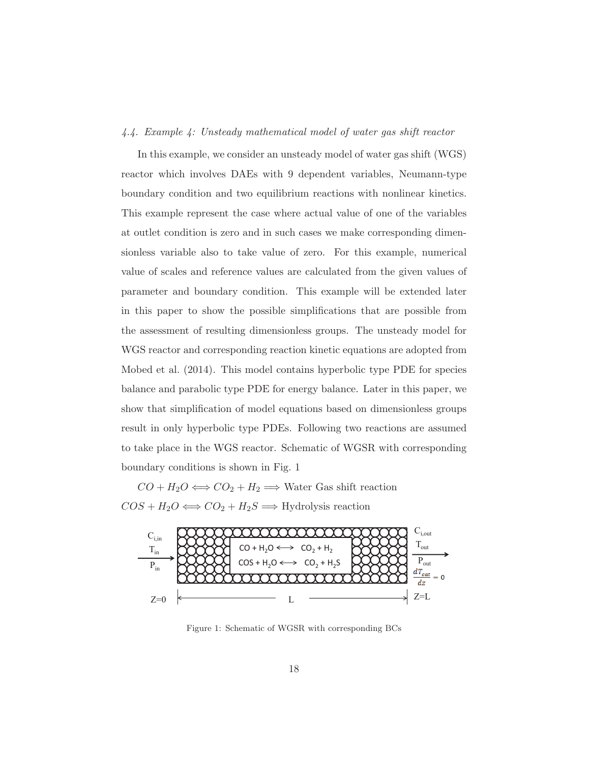## 4.4. Example 4: Unsteady mathematical model of water gas shift reactor

In this example, we consider an unsteady model of water gas shift (WGS) reactor which involves DAEs with 9 dependent variables, Neumann-type boundary condition and two equilibrium reactions with nonlinear kinetics. This example represent the case where actual value of one of the variables at outlet condition is zero and in such cases we make corresponding dimensionless variable also to take value of zero. For this example, numerical value of scales and reference values are calculated from the given values of parameter and boundary condition. This example will be extended later in this paper to show the possible simplifications that are possible from the assessment of resulting dimensionless groups. The unsteady model for WGS reactor and corresponding reaction kinetic equations are adopted from Mobed et al. (2014). This model contains hyperbolic type PDE for species balance and parabolic type PDE for energy balance. Later in this paper, we show that simplification of model equations based on dimensionless groups result in only hyperbolic type PDEs. Following two reactions are assumed to take place in the WGS reactor. Schematic of WGSR with corresponding boundary conditions is shown in Fig. 1

 $CO + H_2O \Longleftrightarrow CO_2 + H_2 \Longrightarrow$  Water Gas shift reaction  $COS + H_2O \Longleftrightarrow CO_2 + H_2S \Longrightarrow$  Hydrolysis reaction



Figure 1: Schematic of WGSR with corresponding BCs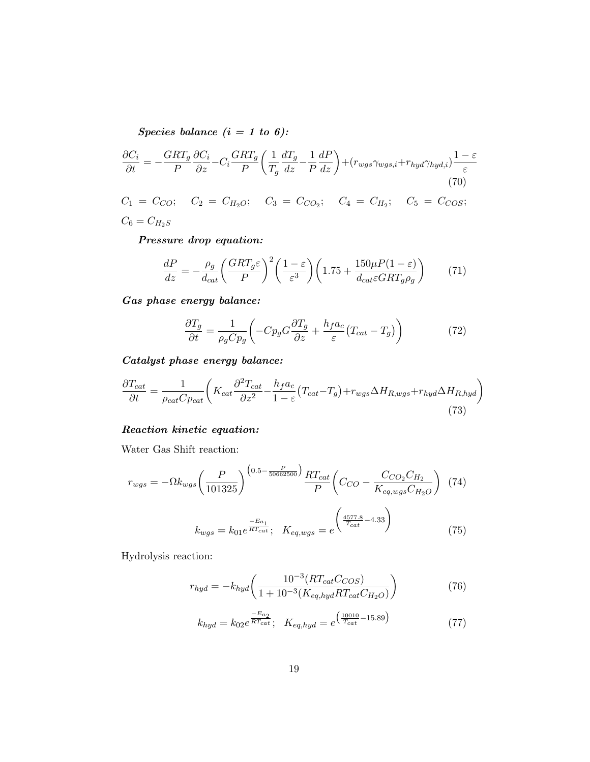*Species balance (i = 1 to 6):*

$$
\frac{\partial C_i}{\partial t} = -\frac{GRT_g}{P} \frac{\partial C_i}{\partial z} - C_i \frac{GRT_g}{P} \left( \frac{1}{T_g} \frac{dT_g}{dz} - \frac{1}{P} \frac{dP}{dz} \right) + (r_{wgs} \gamma_{wgs,i} + r_{hyd} \gamma_{hyd,i}) \frac{1 - \varepsilon}{\varepsilon}
$$
\n(70)

 $C_1 = C_{CO}$ ;  $C_2 = C_{H_2O}$ ;  $C_3 = C_{CO_2}$ ;  $C_4 = C_{H_2}$ ;  $C_5 = C_{COS}$ ;  $C_6=C_{H_2S}$ 

*Pressure drop equation:*

$$
\frac{dP}{dz} = -\frac{\rho_g}{d_{cat}} \left(\frac{GRT_g\varepsilon}{P}\right)^2 \left(\frac{1-\varepsilon}{\varepsilon^3}\right) \left(1.75 + \frac{150\mu P(1-\varepsilon)}{d_{cat}\varepsilon GRT_g\rho_g}\right) \tag{71}
$$

*Gas phase energy balance:*

$$
\frac{\partial T_g}{\partial t} = \frac{1}{\rho_g C p_g} \left( -C p_g G \frac{\partial T_g}{\partial z} + \frac{h_f a_c}{\varepsilon} (T_{cat} - T_g) \right) \tag{72}
$$

*Catalyst phase energy balance:*

$$
\frac{\partial T_{cat}}{\partial t} = \frac{1}{\rho_{cat}Cp_{cat}} \left( K_{cat} \frac{\partial^2 T_{cat}}{\partial z^2} - \frac{h_f a_c}{1 - \varepsilon} (T_{cat} - T_g) + r_{wgs} \Delta H_{R,wgs} + r_{hyd} \Delta H_{R,hyd} \right)
$$
\n(73)

## *Reaction kinetic equation:*

Water Gas Shift reaction:

$$
r_{wgs} = -\Omega k_{wgs} \left(\frac{P}{101325}\right)^{(0.5 - \frac{P}{50662500})} \frac{RT_{cat}}{P} \left(C_{CO} - \frac{C_{CO_2}C_{H_2}}{K_{eq, wgs}C_{H_2O}}\right)
$$
(74)

$$
k_{wgs} = k_{01} e^{\frac{-E_{a_1}}{RT_{cat}}}; \quad K_{eq, wgs} = e^{\left(\frac{4577.8}{T_{cat}} - 4.33\right)} \tag{75}
$$

Hydrolysis reaction:

$$
r_{hyd} = -k_{hyd} \left( \frac{10^{-3} (RT_{cat} C_{COS})}{1 + 10^{-3} (K_{eq,hyd} RT_{cat} C_{H_2O})} \right)
$$
(76)

$$
k_{hyd} = k_{02}e^{\frac{-E_{a_2}}{RT_{cat}}}; \quad K_{eq,hyd} = e^{\left(\frac{10010}{T_{cat}} - 15.89\right)} \tag{77}
$$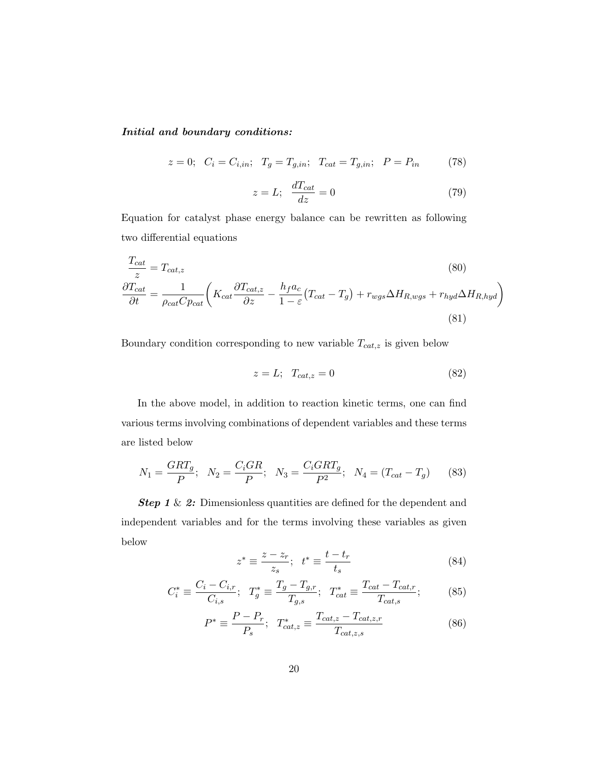### *Initial and boundary conditions:*

$$
z = 0;
$$
  $C_i = C_{i,in};$   $T_g = T_{g,in};$   $T_{cat} = T_{g,in};$   $P = P_{in}$  (78)

$$
z = L; \quad \frac{dT_{cat}}{dz} = 0 \tag{79}
$$

Equation for catalyst phase energy balance can be rewritten as following two differential equations

$$
\frac{T_{cat}}{z} = T_{cat,z}
$$
\n
$$
\frac{\partial T_{cat}}{\partial t} = \frac{1}{\rho_{cat}C_{\rho_{cat}}} \left( K_{cat} \frac{\partial T_{cat,z}}{\partial z} - \frac{h_f a_c}{1 - \varepsilon} (T_{cat} - T_g) + r_{wgs} \Delta H_{R,wgs} + r_{hyd} \Delta H_{R,hyd} \right)
$$
\n(81)

Boundary condition corresponding to new variable  $T_{cat,z}$  is given below

$$
z = L; \quad T_{cat,z} = 0 \tag{82}
$$

In the above model, in addition to reaction kinetic terms, one can find various terms involving combinations of dependent variables and these terms are listed below

$$
N_1 = \frac{GRT_g}{P}; \quad N_2 = \frac{C_iGR}{P}; \quad N_3 = \frac{C_iGRT_g}{P^2}; \quad N_4 = (T_{cat} - T_g) \tag{83}
$$

**Step 1** & 2: Dimensionless quantities are defined for the dependent and independent variables and for the terms involving these variables as given below

$$
z^* \equiv \frac{z - z_r}{z_s}; \quad t^* \equiv \frac{t - t_r}{t_s} \tag{84}
$$

$$
C_i^* \equiv \frac{C_i - C_{i,r}}{C_{i,s}}; \ T_g^* \equiv \frac{T_g - T_{g,r}}{T_{g,s}}; \ T_{cat}^* \equiv \frac{T_{cat} - T_{cat,r}}{T_{cat,s}}; \tag{85}
$$

$$
P^* \equiv \frac{P - P_r}{P_s}; \quad T_{cat,z}^* \equiv \frac{T_{cat,z} - T_{cat,z,r}}{T_{cat,z,s}}
$$
(86)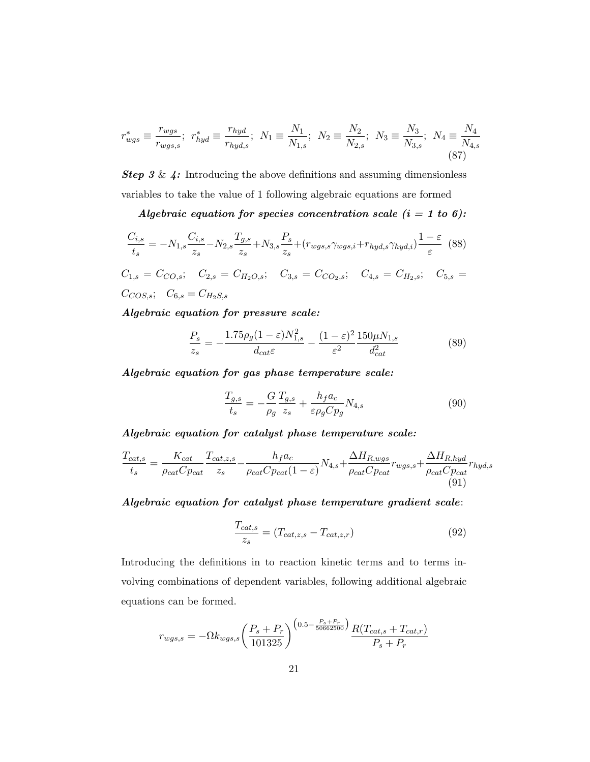$$
r_{wgs}^{*} \equiv \frac{r_{wgs}}{r_{wgs,s}}; \ r_{hyd}^{*} \equiv \frac{r_{hyd}}{r_{hyd,s}}; \ N_{1} \equiv \frac{N_{1}}{N_{1,s}}; \ N_{2} \equiv \frac{N_{2}}{N_{2,s}}; \ N_{3} \equiv \frac{N_{3}}{N_{3,s}}; \ N_{4} \equiv \frac{N_{4}}{N_{4,s}}
$$
\n(87)

*Step 3* & *4:* Introducing the above definitions and assuming dimensionless variables to take the value of 1 following algebraic equations are formed

*Algebraic equation for species concentration scale (i = 1 to 6):*

$$
\frac{C_{i,s}}{t_s} = -N_{1,s} \frac{C_{i,s}}{z_s} - N_{2,s} \frac{T_{g,s}}{z_s} + N_{3,s} \frac{P_s}{z_s} + (r_{wgs,s} \gamma_{wgs,i} + r_{hyd,s} \gamma_{hyd,i}) \frac{1 - \varepsilon}{\varepsilon}
$$
(88)  

$$
C_{1,s} = C_{CO,s}; \quad C_{2,s} = C_{H_2O,s}; \quad C_{3,s} = C_{CO_2,s}; \quad C_{4,s} = C_{H_2,s}; \quad C_{5,s} = C_{COS,s}; \quad C_{6,s} = C_{H_2S,s}
$$

*Algebraic equation for pressure scale:*

$$
\frac{P_s}{z_s} = -\frac{1.75\rho_g (1 - \varepsilon) N_{1,s}^2}{d_{cat}\varepsilon} - \frac{(1 - \varepsilon)^2}{\varepsilon^2} \frac{150\mu N_{1,s}}{d_{cat}^2}
$$
(89)

*Algebraic equation for gas phase temperature scale:*

$$
\frac{T_{g,s}}{t_s} = -\frac{G}{\rho_g} \frac{T_{g,s}}{z_s} + \frac{h_f a_c}{\varepsilon \rho_g C p_g} N_{4,s} \tag{90}
$$

*Algebraic equation for catalyst phase temperature scale:*

$$
\frac{T_{cat,s}}{t_s} = \frac{K_{cat}}{\rho_{cat}C_{p_{cat}}} \frac{T_{cat,z,s}}{z_s} - \frac{h_f a_c}{\rho_{cat}C_{p_{cat}}(1-\varepsilon)} N_{4,s} + \frac{\Delta H_{R,wgs}}{\rho_{cat}C_{p_{cat}}} r_{wgs,s} + \frac{\Delta H_{R,hyd}}{\rho_{cat}C_{p_{cat}}} r_{hyd,s}
$$
\n(91)

*Algebraic equation for catalyst phase temperature gradient scale*:

$$
\frac{T_{cat,s}}{z_s} = (T_{cat,z,s} - T_{cat,z,r})
$$
\n(92)

Introducing the definitions in to reaction kinetic terms and to terms involving combinations of dependent variables, following additional algebraic equations can be formed.

$$
r_{wgs,s} = -\Omega k_{wgs,s} \left(\frac{P_s + P_r}{101325}\right)^{(0.5 - \frac{P_s + P_r}{50662500})} \frac{R(T_{cat,s} + T_{cat,r})}{P_s + P_r}
$$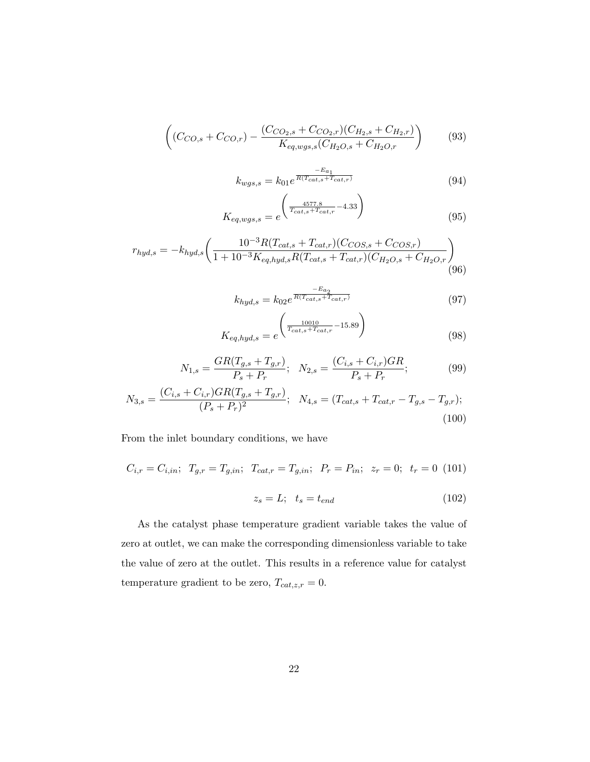$$
\left((C_{CO,s} + C_{CO,r}) - \frac{(C_{CO_2,s} + C_{CO_2,r})(C_{H_2,s} + C_{H_2,r})}{K_{eq, wgs,s}(C_{H_2O,s} + C_{H_2O,r})}\right) \tag{93}
$$

$$
k_{wgs,s} = k_{01} e^{\frac{-E_{a_1}}{R(T_{cat,s} + T_{cat,r})}}
$$
(94)

$$
K_{eq, wgs, s} = e^{\left(\frac{4577.8}{T_{cat,s} + T_{cat,r}} - 4.33\right)}
$$
\n(95)

$$
r_{hyd,s} = -k_{hyd,s} \left( \frac{10^{-3} R (T_{cat,s} + T_{cat,r}) (C_{COS,s} + C_{COS,r})}{1 + 10^{-3} K_{eq,hyd,s} R (T_{cat,s} + T_{cat,r}) (C_{H_2O,s} + C_{H_2O,r})} \right)
$$
(96)

$$
k_{hyd,s} = k_{02}e^{\frac{-E_{a_2}}{R(T_{cat,s} + T_{cat,r})}}
$$
(97)

$$
K_{eq, hyd,s} = e^{\left(\frac{10010}{T_{cat,s} + T_{cat,r}} - 15.89\right)}
$$
\n(98)

$$
N_{1,s} = \frac{GR(T_{g,s} + T_{g,r})}{P_s + P_r}; \quad N_{2,s} = \frac{(C_{i,s} + C_{i,r})GR}{P_s + P_r};
$$
\n(99)

$$
N_{3,s} = \frac{(C_{i,s} + C_{i,r})GR(T_{g,s} + T_{g,r})}{(P_s + P_r)^2}; \quad N_{4,s} = (T_{cat,s} + T_{cat,r} - T_{g,s} - T_{g,r});
$$
\n(100)

From the inlet boundary conditions, we have

$$
C_{i,r} = C_{i,in}; \ T_{g,r} = T_{g,in}; \ T_{cat,r} = T_{g,in}; \ P_r = P_{in}; \ z_r = 0; \ t_r = 0 \ (101)
$$

$$
z_e = L; \ t_e = t_{end} \tag{102}
$$

$$
\lambda_s - L, \quad \iota_s - \iota_{end} \tag{102}
$$

As the catalyst phase temperature gradient variable takes the value of zero at outlet, we can make the corresponding dimensionless variable to take the value of zero at the outlet. This results in a reference value for catalyst temperature gradient to be zero,  $T_{cat,z,r} = 0$ .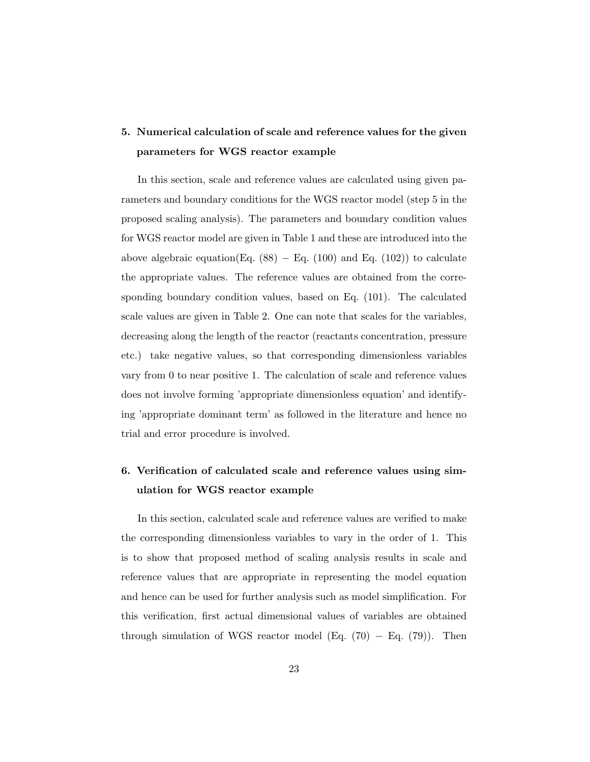# **5. Numerical calculation of scale and reference values for the given parameters for WGS reactor example**

In this section, scale and reference values are calculated using given parameters and boundary conditions for the WGS reactor model (step 5 in the proposed scaling analysis). The parameters and boundary condition values for WGS reactor model are given in Table 1 and these are introduced into the above algebraic equation(Eq.  $(88)$  – Eq.  $(100)$  and Eq.  $(102)$ ) to calculate the appropriate values. The reference values are obtained from the corresponding boundary condition values, based on Eq. (101). The calculated scale values are given in Table 2. One can note that scales for the variables, decreasing along the length of the reactor (reactants concentration, pressure etc.) take negative values, so that corresponding dimensionless variables vary from 0 to near positive 1. The calculation of scale and reference values does not involve forming 'appropriate dimensionless equation' and identifying 'appropriate dominant term' as followed in the literature and hence no trial and error procedure is involved.

# **6. Verification of calculated scale and reference values using simulation for WGS reactor example**

In this section, calculated scale and reference values are verified to make the corresponding dimensionless variables to vary in the order of 1. This is to show that proposed method of scaling analysis results in scale and reference values that are appropriate in representing the model equation and hence can be used for further analysis such as model simplification. For this verification, first actual dimensional values of variables are obtained through simulation of WGS reactor model (Eq.  $(70) - Eq. (79)$ ). Then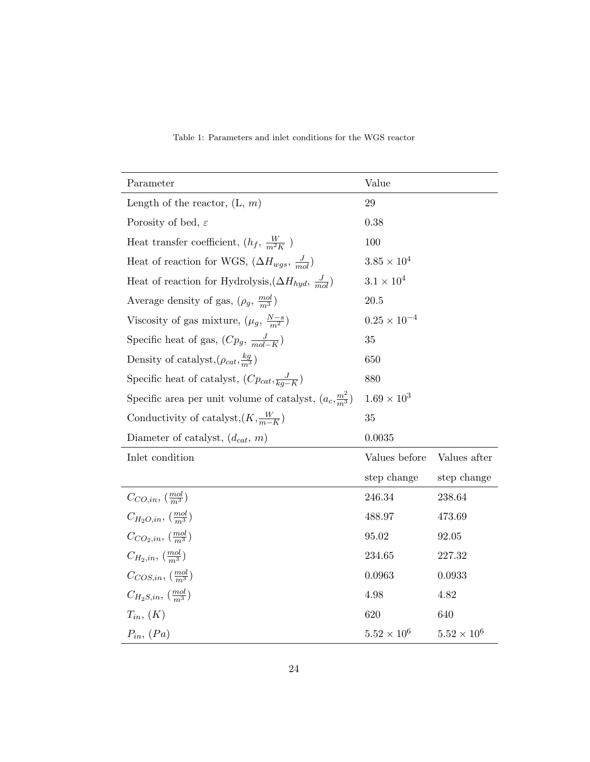| Parameter                                                           | Value                 |                      |
|---------------------------------------------------------------------|-----------------------|----------------------|
| Length of the reactor, $(L, m)$                                     | $\,29$                |                      |
| Porosity of bed, $\varepsilon$                                      | 0.38                  |                      |
| Heat transfer coefficient, $(h_f, \frac{W}{m^2K})$                  | 100                   |                      |
| Heat of reaction for WGS, $(\Delta H_{wgs}, \frac{J}{mol})$         | $3.85 \times 10^{4}$  |                      |
| Heat of reaction for Hydrolysis, $(\Delta H_{hyd}, \frac{J}{mol})$  | $3.1 \times 10^{4}$   |                      |
| Average density of gas, $(\rho_g, \frac{mol}{m^3})$                 | 20.5                  |                      |
| Viscosity of gas mixture, $(\mu_g, \frac{N-s}{m^2})$                | $0.25 \times 10^{-4}$ |                      |
| Specific heat of gas, $(Cp_g, \frac{J}{mol-K})$                     | 35                    |                      |
| Density of catalyst, $(\rho_{cat}, \frac{kg}{m^3})$                 | 650                   |                      |
| Specific heat of catalyst, $(Cp_{cat}, \frac{J}{kq-K})$             | 880                   |                      |
| Specific area per unit volume of catalyst, $(a_c, \frac{m^2}{m^3})$ | $1.69 \times 10^{3}$  |                      |
| Conductivity of catalyst, $(K, \frac{W}{m-K})$                      | 35                    |                      |
| Diameter of catalyst, $(d_{cat}, m)$                                | 0.0035                |                      |
| Inlet condition                                                     | Values before         | Values after         |
|                                                                     | step change           | step change          |
| $C_{CO,in}, \left(\frac{mol}{m^3}\right)$                           | 246.34                | 238.64               |
| $C_{H_2O,in}$ , $\left(\frac{mol}{m^3}\right)$                      | 488.97                | 473.69               |
| $C_{CO_2,in}$ , $\left(\frac{mol}{m^3}\right)$                      | 95.02                 | 92.05                |
| $C_{H_2,in}$ , $\left(\frac{mol}{m^3}\right)$                       | 234.65                | 227.32               |
| $C_{COS,in}$ , $\left(\frac{mol}{m^3}\right)$                       | 0.0963                | 0.0933               |
| $C_{H_2S,in}$ , $\left(\frac{mol}{m^3}\right)$                      | 4.98                  | 4.82                 |
| $T_{in}, (K)$                                                       | 620                   | 640                  |
| $P_{in}, (Pa)$                                                      | $5.52 \times 10^{6}$  | $5.52 \times 10^{6}$ |

Table 1: Parameters and inlet conditions for the WGS reactor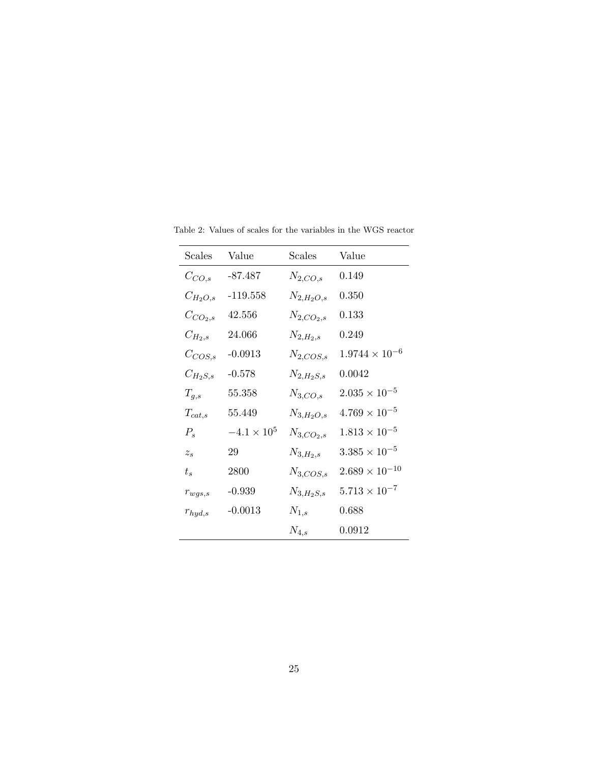| Scales       | Value                | <b>Scales</b>    | Value                   |
|--------------|----------------------|------------------|-------------------------|
| $C_{CO,s}$   | -87.487              | $N_{2,CO,s}$     | 0.149                   |
| $C_{H_2O,s}$ | $-119.558$           | $N_{2,H_2O,s}$   | 0.350                   |
| $C_{CO_2,s}$ | 42.556               | $N_{2,CO_2,s}$   | 0.133                   |
| $C_{H_2,s}$  | 24.066               | $N_{2,H_2,s}$    | 0.249                   |
| $C_{COS,s}$  | $-0.0913$            | $N_{2, COS,s}$   | $1.9744 \times 10^{-6}$ |
| $C_{H_2S,s}$ | $-0.578$             | $N_{2,H_2S,s}$   | 0.0042                  |
| $T_{g,s}$    | 55.358               | $N_{3,CO,s}$     | $2.035\times10^{-5}$    |
| $T_{cat,s}$  | 55.449               | $N_{3,H_2O,s}$   | $4.769 \times 10^{-5}$  |
| $P_{s}$      | $-4.1 \times 10^{5}$ | $N_{3,CO_2,s}$   | $1.813 \times 10^{-5}$  |
| $z_{s}$      | 29                   | $N_{3, H_2, s}$  | $3.385 \times 10^{-5}$  |
| $t_{s}$      | 2800                 | $N_{3, COS,s}$   | $2.689 \times 10^{-10}$ |
| $r_{wgs,s}$  | $-0.939$             | $N_{3, H_2S, s}$ | $5.713 \times 10^{-7}$  |
| $r_{hyd,s}$  | $-0.0013$            | $N_{1,s}$        | 0.688                   |
|              |                      | $N_{4,s}$        | 0.0912                  |

Table 2: Values of scales for the variables in the WGS reactor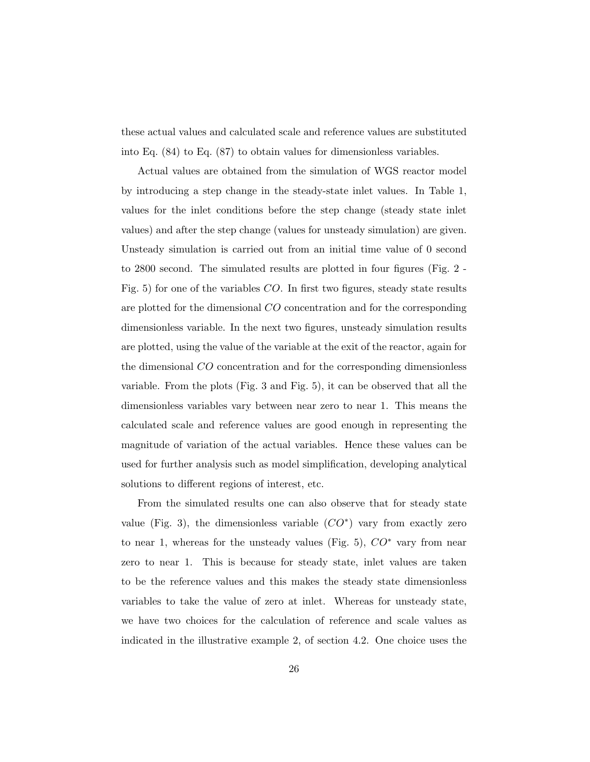these actual values and calculated scale and reference values are substituted into Eq. (84) to Eq. (87) to obtain values for dimensionless variables.

Actual values are obtained from the simulation of WGS reactor model by introducing a step change in the steady-state inlet values. In Table 1, values for the inlet conditions before the step change (steady state inlet values) and after the step change (values for unsteady simulation) are given. Unsteady simulation is carried out from an initial time value of 0 second to 2800 second. The simulated results are plotted in four figures (Fig. 2 - Fig. 5) for one of the variables CO. In first two figures, steady state results are plotted for the dimensional CO concentration and for the corresponding dimensionless variable. In the next two figures, unsteady simulation results are plotted, using the value of the variable at the exit of the reactor, again for the dimensional CO concentration and for the corresponding dimensionless variable. From the plots (Fig. 3 and Fig. 5), it can be observed that all the dimensionless variables vary between near zero to near 1. This means the calculated scale and reference values are good enough in representing the magnitude of variation of the actual variables. Hence these values can be used for further analysis such as model simplification, developing analytical solutions to different regions of interest, etc.

From the simulated results one can also observe that for steady state value (Fig. 3), the dimensionless variable  $(CO^*)$  vary from exactly zero to near 1, whereas for the unsteady values (Fig. 5),  $CO^*$  vary from near zero to near 1. This is because for steady state, inlet values are taken to be the reference values and this makes the steady state dimensionless variables to take the value of zero at inlet. Whereas for unsteady state, we have two choices for the calculation of reference and scale values as indicated in the illustrative example 2, of section 4.2. One choice uses the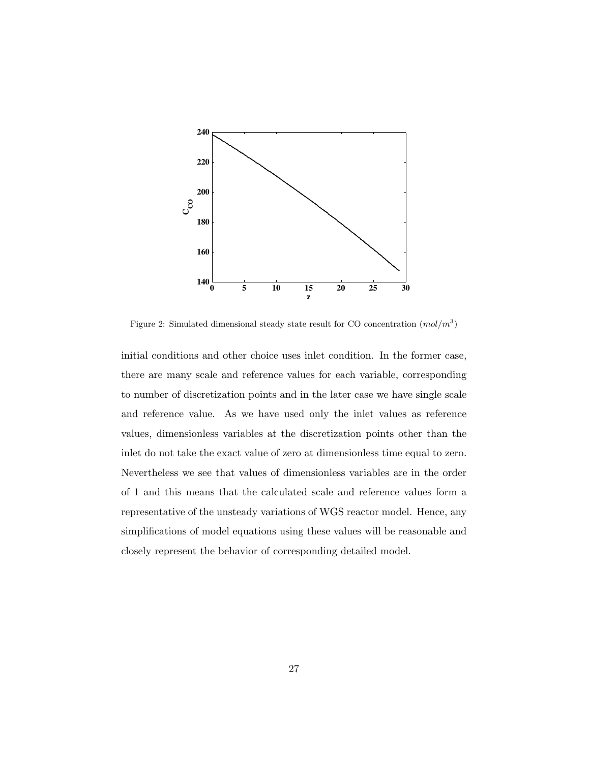

Figure 2: Simulated dimensional steady state result for CO concentration  $(mol/m<sup>3</sup>)$ 

initial conditions and other choice uses inlet condition. In the former case, there are many scale and reference values for each variable, corresponding to number of discretization points and in the later case we have single scale and reference value. As we have used only the inlet values as reference values, dimensionless variables at the discretization points other than the inlet do not take the exact value of zero at dimensionless time equal to zero. Nevertheless we see that values of dimensionless variables are in the order of 1 and this means that the calculated scale and reference values form a representative of the unsteady variations of WGS reactor model. Hence, any simplifications of model equations using these values will be reasonable and closely represent the behavior of corresponding detailed model.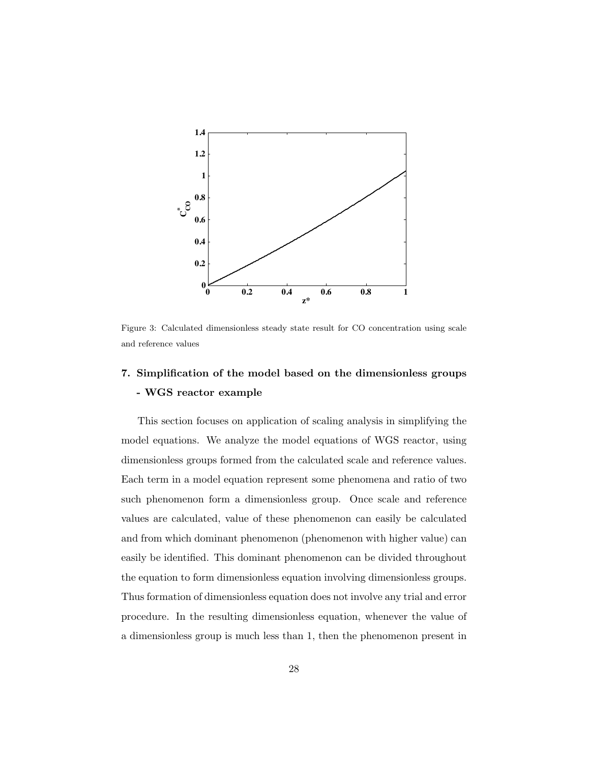

Figure 3: Calculated dimensionless steady state result for CO concentration using scale and reference values

# **7. Simplification of the model based on the dimensionless groups - WGS reactor example**

This section focuses on application of scaling analysis in simplifying the model equations. We analyze the model equations of WGS reactor, using dimensionless groups formed from the calculated scale and reference values. Each term in a model equation represent some phenomena and ratio of two such phenomenon form a dimensionless group. Once scale and reference values are calculated, value of these phenomenon can easily be calculated and from which dominant phenomenon (phenomenon with higher value) can easily be identified. This dominant phenomenon can be divided throughout the equation to form dimensionless equation involving dimensionless groups. Thus formation of dimensionless equation does not involve any trial and error procedure. In the resulting dimensionless equation, whenever the value of a dimensionless group is much less than 1, then the phenomenon present in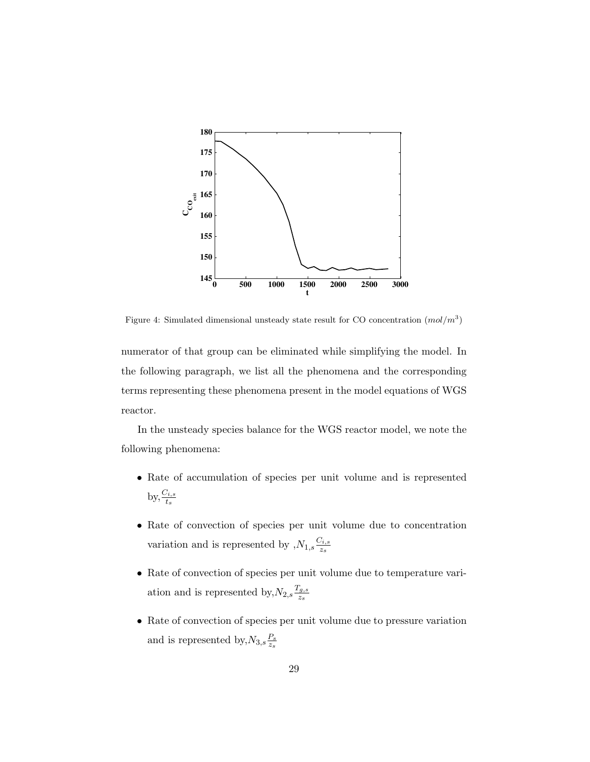

Figure 4: Simulated dimensional unsteady state result for CO concentration  $(mod/m^3)$ 

numerator of that group can be eliminated while simplifying the model. In the following paragraph, we list all the phenomena and the corresponding terms representing these phenomena present in the model equations of WGS reactor.

In the unsteady species balance for the WGS reactor model, we note the following phenomena:

- Rate of accumulation of species per unit volume and is represented by,  $\frac{C_{i,s}}{t_s}$
- Rate of convection of species per unit volume due to concentration variation and is represented by  $N_{1,s} \frac{C_{i,s}}{z_s}$  $\overline{z_s}$
- Rate of convection of species per unit volume due to temperature variation and is represented by,  $N_{2,s} \frac{T_{g,s}}{z_{s}}$  $z_{s}$
- Rate of convection of species per unit volume due to pressure variation and is represented by,  $N_{3,s} \frac{P_s}{z_s}$ zs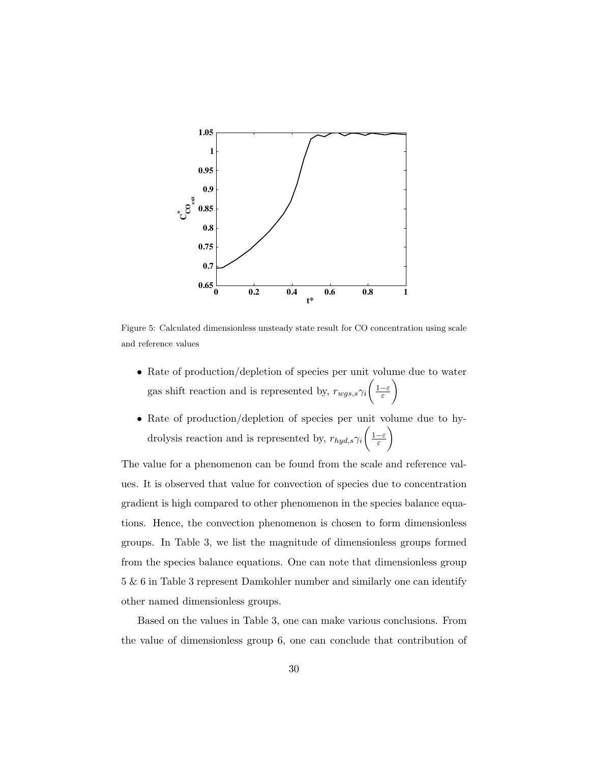

Figure 5: Calculated dimensionless unsteady state result for CO concentration using scale and reference values

- Rate of production/depletion of species per unit volume due to water gas shift reaction and is represented by,  $r_{wgs,s}\gamma_i\left(\frac{1-\varepsilon}{\varepsilon}\right)$  $\setminus$
- Rate of production/depletion of species per unit volume due to hydrolysis reaction and is represented by,  $r_{hyd,s}\gamma_i\left(\frac{1-\varepsilon}{\varepsilon}\right)$  $\setminus$

The value for a phenomenon can be found from the scale and reference values. It is observed that value for convection of species due to concentration gradient is high compared to other phenomenon in the species balance equations. Hence, the convection phenomenon is chosen to form dimensionless groups. In Table 3, we list the magnitude of dimensionless groups formed from the species balance equations. One can note that dimensionless group 5 & 6 in Table 3 represent Damkohler number and similarly one can identify other named dimensionless groups.

Based on the values in Table 3, one can make various conclusions. From the value of dimensionless group 6, one can conclude that contribution of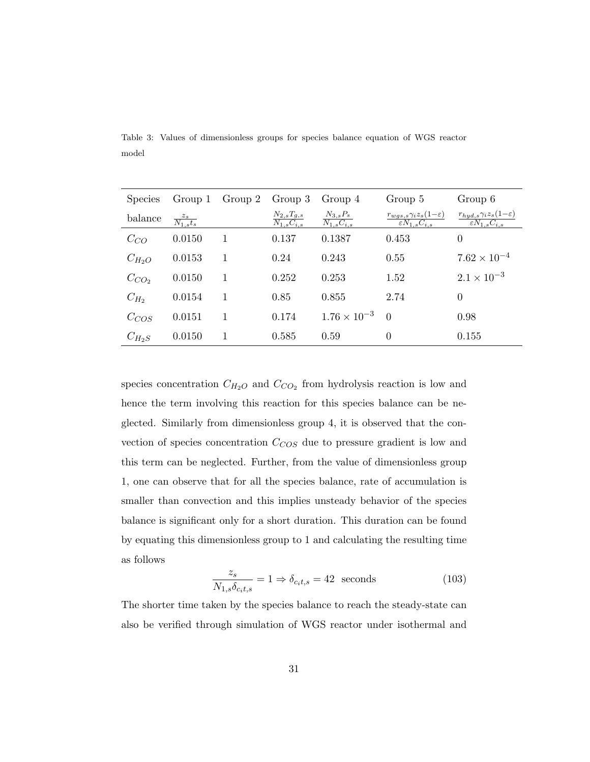| <b>Species</b> |                          | Group 1 $Group 2$ $Group 3$ |                                                 | Group 4                                     | Group 5                                                                | Group 6                                                                |
|----------------|--------------------------|-----------------------------|-------------------------------------------------|---------------------------------------------|------------------------------------------------------------------------|------------------------------------------------------------------------|
| balance        | $\frac{z_s}{N_{1,s}t_s}$ |                             | $N_{2,s}T_{g,s}$<br>$\overline{N_{1,s}C_{i,s}}$ | $N_{3,s}P_s$<br>$\overline{N_{1,s}C_{i,s}}$ | $r_{wgs,s}\gamma_iz_s(1-\varepsilon)$<br>$\varepsilon N_{1,s} C_{i,s}$ | $r_{hyd,s}\gamma_iz_s(1-\varepsilon)$<br>$\varepsilon N_{1,s} C_{i,s}$ |
| $C_{CO}$       | 0.0150                   | 1                           | 0.137                                           | 0.1387                                      | 0.453                                                                  | 0                                                                      |
| $C_{H_2O}$     | 0.0153                   | 1                           | 0.24                                            | 0.243                                       | 0.55                                                                   | $7.62 \times 10^{-4}$                                                  |
| $C_{CO2}$      | 0.0150                   | 1                           | 0.252                                           | 0.253                                       | 1.52                                                                   | $2.1 \times 10^{-3}$                                                   |
| $C_{H_2}$      | 0.0154                   | 1                           | 0.85                                            | 0.855                                       | 2.74                                                                   | $\Omega$                                                               |
| $C_{COS}$      | 0.0151                   | 1                           | 0.174                                           | $1.76 \times 10^{-3}$                       | $\bigcirc$                                                             | 0.98                                                                   |
| $C_{H_2S}$     | 0.0150                   |                             | 0.585                                           | 0.59                                        | $\Omega$                                                               | 0.155                                                                  |

Table 3: Values of dimensionless groups for species balance equation of WGS reactor model

species concentration  $C_{H_2O}$  and  $C_{CO_2}$  from hydrolysis reaction is low and hence the term involving this reaction for this species balance can be neglected. Similarly from dimensionless group 4, it is observed that the convection of species concentration  $C_{COS}$  due to pressure gradient is low and this term can be neglected. Further, from the value of dimensionless group 1, one can observe that for all the species balance, rate of accumulation is smaller than convection and this implies unsteady behavior of the species balance is significant only for a short duration. This duration can be found by equating this dimensionless group to 1 and calculating the resulting time as follows

$$
\frac{z_s}{N_{1,s}\delta_{c_it,s}} = 1 \Rightarrow \delta_{c_it,s} = 42 \text{ seconds}
$$
\n(103)

The shorter time taken by the species balance to reach the steady-state can also be verified through simulation of WGS reactor under isothermal and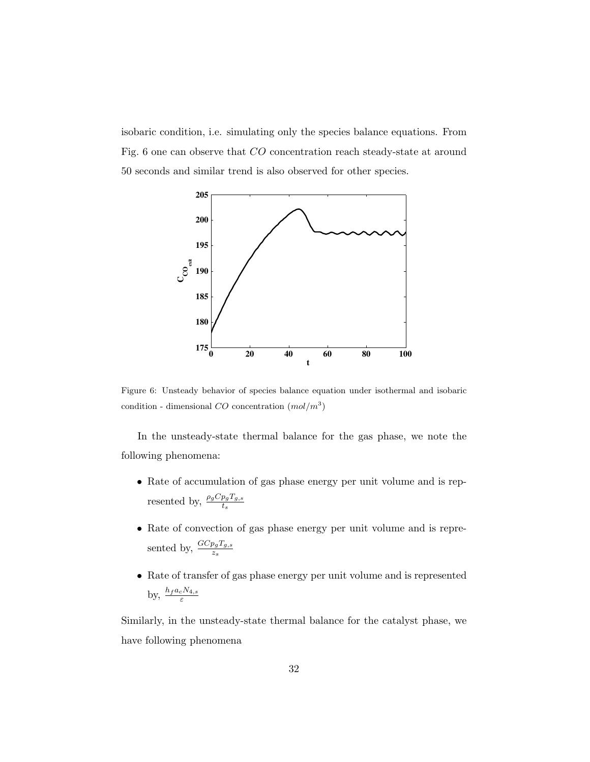isobaric condition, i.e. simulating only the species balance equations. From Fig. 6 one can observe that CO concentration reach steady-state at around 50 seconds and similar trend is also observed for other species.



Figure 6: Unsteady behavior of species balance equation under isothermal and isobaric condition - dimensional  $CO$  concentration  $(mol/m<sup>3</sup>)$ 

In the unsteady-state thermal balance for the gas phase, we note the following phenomena:

- Rate of accumulation of gas phase energy per unit volume and is represented by,  $\frac{\rho_g C p_g T_{g,s}}{t_s}$
- Rate of convection of gas phase energy per unit volume and is represented by,  $\frac{G C p_g T_{g,s}}{z_s}$
- Rate of transfer of gas phase energy per unit volume and is represented by,  $\frac{h_f a_c N_{4,s}}{\varepsilon}$

Similarly, in the unsteady-state thermal balance for the catalyst phase, we have following phenomena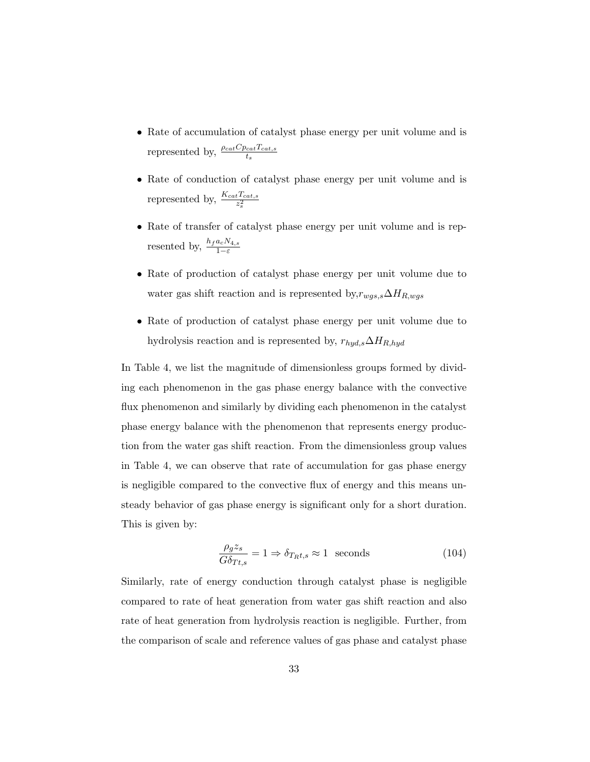- Rate of accumulation of catalyst phase energy per unit volume and is represented by,  $\frac{\rho_{cat}C_{\text{Pcat}}T_{cat,s}}{t_s}$
- Rate of conduction of catalyst phase energy per unit volume and is represented by,  $\frac{K_{cat}T_{cat,s}}{z_s^2}$
- Rate of transfer of catalyst phase energy per unit volume and is represented by,  $\frac{h_f a_c N_{4,s}}{1-\varepsilon}$
- Rate of production of catalyst phase energy per unit volume due to water gas shift reaction and is represented by,  $r_{wgs,s} \Delta H_{R,wgs}$
- Rate of production of catalyst phase energy per unit volume due to hydrolysis reaction and is represented by,  $r_{hyd,s} \Delta H_{R,hyd}$

In Table 4, we list the magnitude of dimensionless groups formed by dividing each phenomenon in the gas phase energy balance with the convective flux phenomenon and similarly by dividing each phenomenon in the catalyst phase energy balance with the phenomenon that represents energy production from the water gas shift reaction. From the dimensionless group values in Table 4, we can observe that rate of accumulation for gas phase energy is negligible compared to the convective flux of energy and this means unsteady behavior of gas phase energy is significant only for a short duration. This is given by:

$$
\frac{\rho_g z_s}{G \delta_{Tt,s}} = 1 \Rightarrow \delta_{T_R t,s} \approx 1 \text{ seconds}
$$
\n(104)

Similarly, rate of energy conduction through catalyst phase is negligible compared to rate of heat generation from water gas shift reaction and also rate of heat generation from hydrolysis reaction is negligible. Further, from the comparison of scale and reference values of gas phase and catalyst phase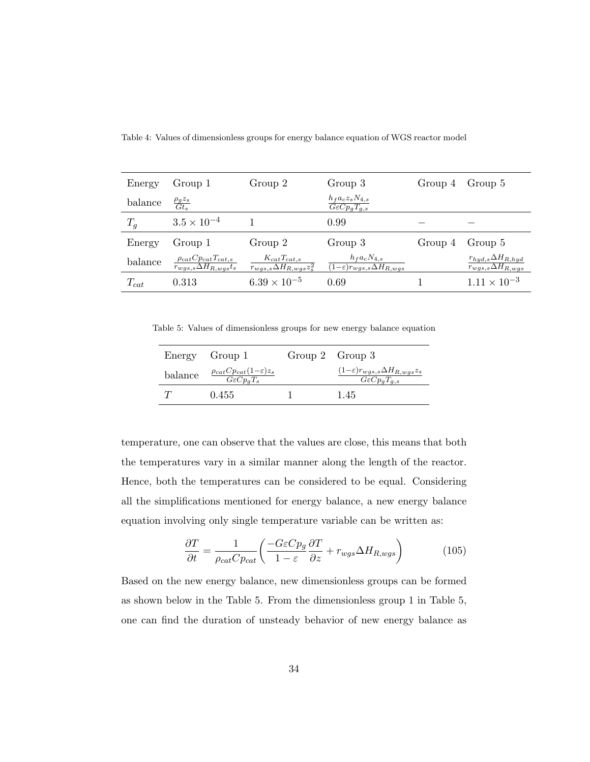| Energy    | Group 1                                                            | Group 2                                                               | Group 3                                                                    | Group 4 | Group 5                                                      |
|-----------|--------------------------------------------------------------------|-----------------------------------------------------------------------|----------------------------------------------------------------------------|---------|--------------------------------------------------------------|
| balance   | $\frac{\rho_g z_s}{G t_s}$                                         |                                                                       | $h_f a_c z_s N_{4,s}$<br>$G\varepsilon C p_q T_{q,s}$                      |         |                                                              |
| $T_g$     | $3.5 \times 10^{-4}$                                               |                                                                       | 0.99                                                                       |         |                                                              |
| Energy    | Group 1                                                            | Group 2                                                               | Group 3                                                                    | Group 4 | Group 5                                                      |
| balance   | $\frac{\rho_{cat}Cp_{cat}T_{cat,s}}{r_{wgs,s}\Delta H_{R,wgs}t_s}$ | $K_{cat}T_{cat,s}$<br>$\overline{r_{wgs,s}\Delta H_{R,wgs}z_{s}^{2}}$ | $h_f a_c N_{4,s}$<br>$\overline{(1-\varepsilon)r_{wgs,s}\Delta H_{R,wgs}}$ |         | $r_{hyd,s} \Delta H_{R,hyd}$<br>$r_{wgs,s} \Delta H_{R,wgs}$ |
| $T_{cat}$ | 0.313                                                              | $6.39 \times 10^{-5}$                                                 | 0.69                                                                       |         | $1.11 \times 10^{-3}$                                        |

Table 4: Values of dimensionless groups for energy balance equation of WGS reactor model

Table 5: Values of dimensionless groups for new energy balance equation

|         | Energy Group 1                                                      | Group 2 Group 3                                                               |
|---------|---------------------------------------------------------------------|-------------------------------------------------------------------------------|
| balance | $\frac{\rho_{cat}Cp_{cat}(1-\varepsilon)z_s}{G\varepsilon Cp_qT_s}$ | $(1-\varepsilon)r_{wgs,s}\Delta H_{R,wgs}z_s$<br>$G\varepsilon C p_q T_{q,s}$ |
|         | 0.455                                                               | 1.45                                                                          |

temperature, one can observe that the values are close, this means that both the temperatures vary in a similar manner along the length of the reactor. Hence, both the temperatures can be considered to be equal. Considering all the simplifications mentioned for energy balance, a new energy balance equation involving only single temperature variable can be written as:

$$
\frac{\partial T}{\partial t} = \frac{1}{\rho_{cat} C p_{cat}} \left( \frac{-G \varepsilon C p_g}{1 - \varepsilon} \frac{\partial T}{\partial z} + r_{wgs} \Delta H_{R,wgs} \right) \tag{105}
$$

Based on the new energy balance, new dimensionless groups can be formed as shown below in the Table 5. From the dimensionless group 1 in Table 5, one can find the duration of unsteady behavior of new energy balance as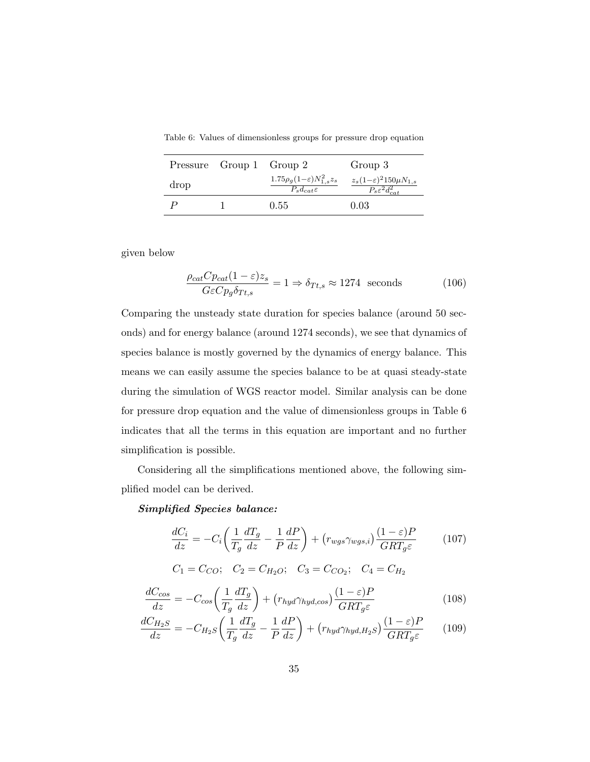Table 6: Values of dimensionless groups for pressure drop equation

|      | Pressure Group 1 Group 2 |                                                                       | Group 3                                                                 |
|------|--------------------------|-----------------------------------------------------------------------|-------------------------------------------------------------------------|
| drop |                          | $1.75\rho_g(1-\varepsilon)N_{1,s}^2z_s$<br>$P_{s}d_{cat} \varepsilon$ | $z_s(1-\varepsilon)^2 150 \mu N_{1,s}$<br>$P_s \varepsilon^2 d_{cat}^2$ |
|      |                          | 0.55                                                                  | 0.03                                                                    |

given below

$$
\frac{\rho_{cat}Cp_{cat}(1-\varepsilon)z_s}{G\varepsilon Cp_g\delta_{Tt,s}} = 1 \Rightarrow \delta_{Tt,s} \approx 1274 \text{ seconds}
$$
 (106)

Comparing the unsteady state duration for species balance (around 50 seconds) and for energy balance (around 1274 seconds), we see that dynamics of species balance is mostly governed by the dynamics of energy balance. This means we can easily assume the species balance to be at quasi steady-state during the simulation of WGS reactor model. Similar analysis can be done for pressure drop equation and the value of dimensionless groups in Table 6 indicates that all the terms in this equation are important and no further simplification is possible.

Considering all the simplifications mentioned above, the following simplified model can be derived.

*Simplified Species balance:*

$$
\frac{dC_i}{dz} = -C_i \left( \frac{1}{T_g} \frac{dT_g}{dz} - \frac{1}{P} \frac{dP}{dz} \right) + \left( r_{wgs} \gamma_{wgs,i} \right) \frac{(1 - \varepsilon)P}{GRT_g \varepsilon} \tag{107}
$$

$$
C_1 = C_{CO}
$$
;  $C_2 = C_{H_2O}$ ;  $C_3 = C_{CO_2}$ ;  $C_4 = C_{H_2}$ 

$$
\frac{dC_{cos}}{dz} = -C_{cos}\left(\frac{1}{T_g}\frac{dT_g}{dz}\right) + \left(r_{hyd}\gamma_{hyd,cos}\right)\frac{(1-\varepsilon)P}{GRT_g\varepsilon} \tag{108}
$$

$$
\frac{dC_{H_2S}}{dz} = -C_{H_2S} \left( \frac{1}{T_g} \frac{dT_g}{dz} - \frac{1}{P} \frac{dP}{dz} \right) + \left( r_{hyd} \gamma_{hyd, H_2S} \right) \frac{(1 - \varepsilon)P}{GRT_g \varepsilon} \tag{109}
$$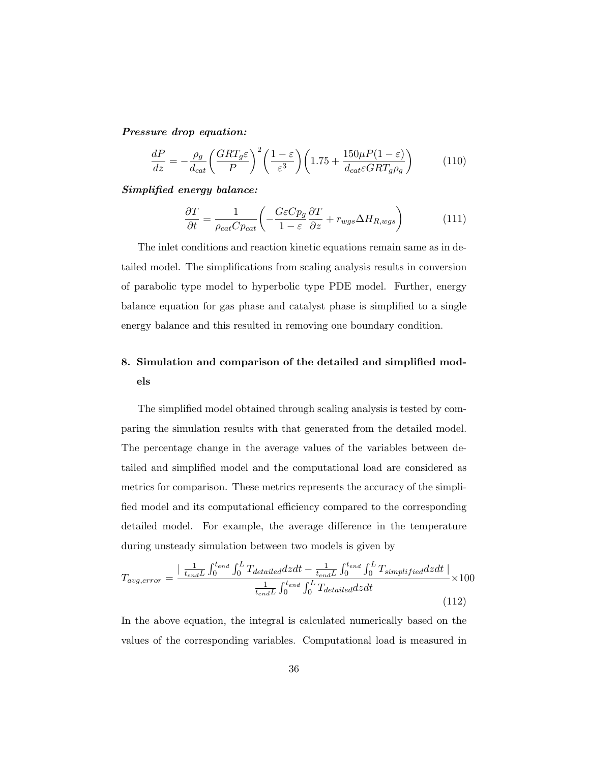*Pressure drop equation:*

$$
\frac{dP}{dz} = -\frac{\rho_g}{d_{cat}} \left(\frac{GRT_g\varepsilon}{P}\right)^2 \left(\frac{1-\varepsilon}{\varepsilon^3}\right) \left(1.75 + \frac{150\mu P(1-\varepsilon)}{d_{cat}\varepsilon GRT_g\rho_g}\right) \tag{110}
$$

## *Simplified energy balance:*

$$
\frac{\partial T}{\partial t} = \frac{1}{\rho_{cat} C p_{cat}} \left( -\frac{G\varepsilon C p_g}{1 - \varepsilon} \frac{\partial T}{\partial z} + r_{wgs} \Delta H_{R,wgs} \right) \tag{111}
$$

The inlet conditions and reaction kinetic equations remain same as in detailed model. The simplifications from scaling analysis results in conversion of parabolic type model to hyperbolic type PDE model. Further, energy balance equation for gas phase and catalyst phase is simplified to a single energy balance and this resulted in removing one boundary condition.

# **8. Simulation and comparison of the detailed and simplified models**

The simplified model obtained through scaling analysis is tested by comparing the simulation results with that generated from the detailed model. The percentage change in the average values of the variables between detailed and simplified model and the computational load are considered as metrics for comparison. These metrics represents the accuracy of the simplified model and its computational efficiency compared to the corresponding detailed model. For example, the average difference in the temperature during unsteady simulation between two models is given by

$$
T_{avg,error} = \frac{\left(\frac{1}{t_{end}L} \int_0^{t_{end}} \int_0^L T_{detailed} dz dt - \frac{1}{t_{end}L} \int_0^{t_{end}} \int_0^L T_{simplified} dz dt \right) \times 100
$$

$$
\frac{1}{t_{end}L} \int_0^{t_{end}} \int_0^L T_{detailed} dz dt
$$
(112)

In the above equation, the integral is calculated numerically based on the values of the corresponding variables. Computational load is measured in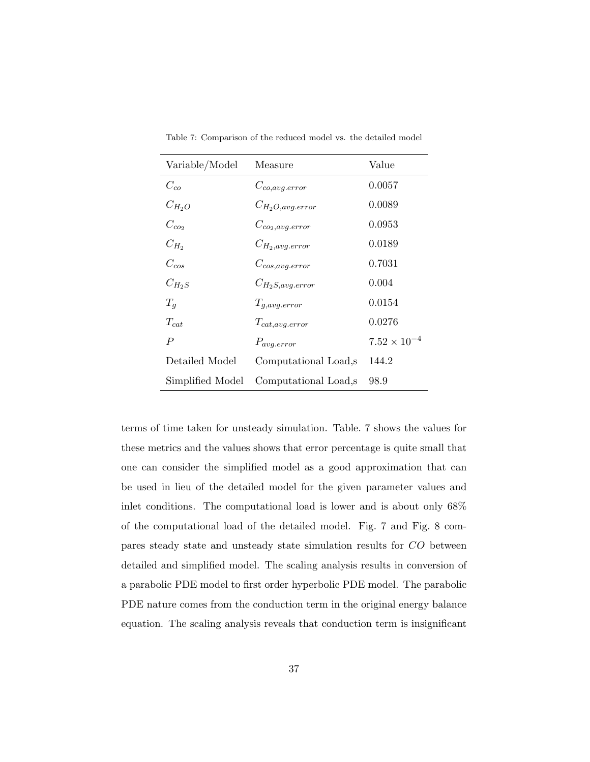| Variable/Model   | Measure                | Value                 |
|------------------|------------------------|-----------------------|
| $C_{co}$         | $C_{co,avg_error}$     | 0.0057                |
| $C_{H_2O}$       | $C_{H_2O, avg. error}$ | 0.0089                |
| $C_{co_2}$       | $C_{co_2, avg. error}$ | 0.0953                |
| $C_{H_2}$        | $C_{H_2, avg. error}$  | 0.0189                |
| $C_{cos}$        | $C_{cos, avg. error}$  | 0.7031                |
| $C_{H_2S}$       | $C_{H_2S, avg. error}$ | 0.004                 |
| $T_q$            | $T_{g,avg. error}$     | 0.0154                |
| $T_{cat}$        | $T_{cat, avg. error}$  | 0.0276                |
| $\boldsymbol{P}$ | $P_{avg. error}$       | $7.52 \times 10^{-4}$ |
| Detailed Model   | Computational Load,s   | 144.2                 |
| Simplified Model | Computational Load,s   | 98.9                  |

Table 7: Comparison of the reduced model vs. the detailed model

terms of time taken for unsteady simulation. Table. 7 shows the values for these metrics and the values shows that error percentage is quite small that one can consider the simplified model as a good approximation that can be used in lieu of the detailed model for the given parameter values and inlet conditions. The computational load is lower and is about only 68% of the computational load of the detailed model. Fig. 7 and Fig. 8 compares steady state and unsteady state simulation results for CO between detailed and simplified model. The scaling analysis results in conversion of a parabolic PDE model to first order hyperbolic PDE model. The parabolic PDE nature comes from the conduction term in the original energy balance equation. The scaling analysis reveals that conduction term is insignificant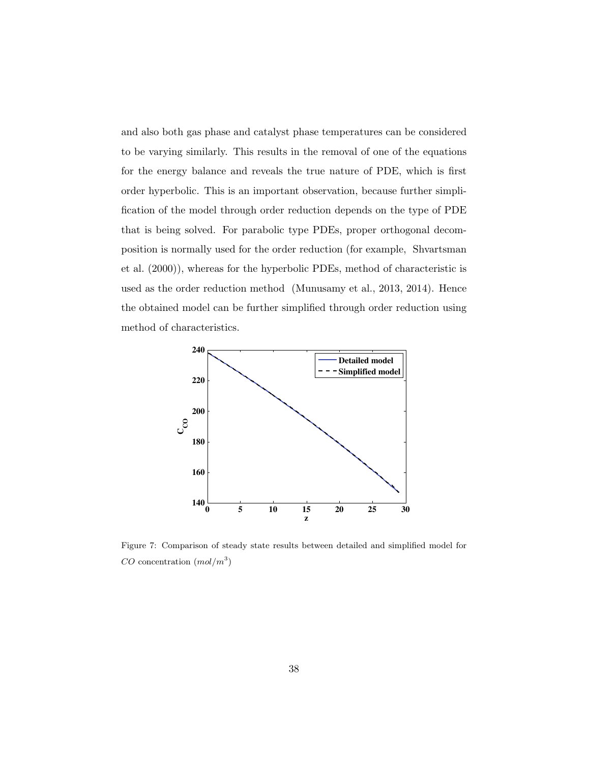and also both gas phase and catalyst phase temperatures can be considered to be varying similarly. This results in the removal of one of the equations for the energy balance and reveals the true nature of PDE, which is first order hyperbolic. This is an important observation, because further simplification of the model through order reduction depends on the type of PDE that is being solved. For parabolic type PDEs, proper orthogonal decomposition is normally used for the order reduction (for example, Shvartsman et al. (2000)), whereas for the hyperbolic PDEs, method of characteristic is used as the order reduction method (Munusamy et al., 2013, 2014). Hence the obtained model can be further simplified through order reduction using method of characteristics.



Figure 7: Comparison of steady state results between detailed and simplified model for  $CO$  concentration  $(mol/m^3)$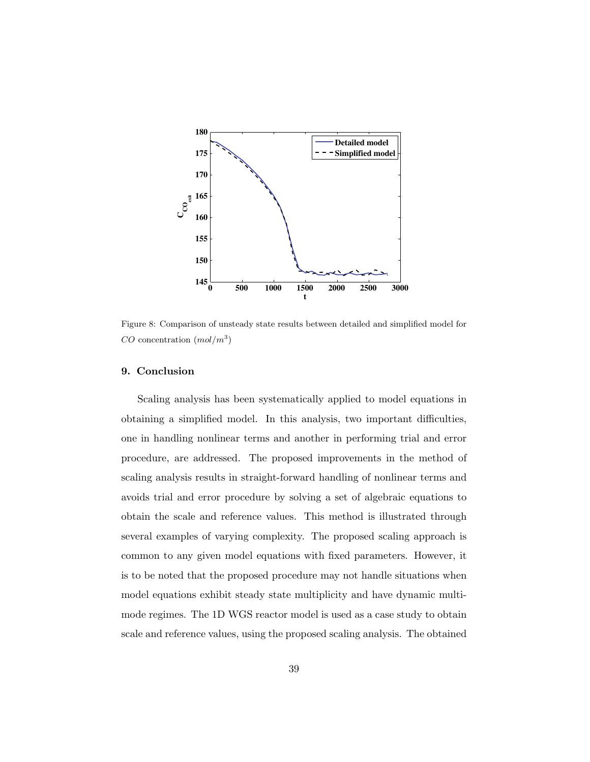

Figure 8: Comparison of unsteady state results between detailed and simplified model for  $CO$  concentration  $(mol/m<sup>3</sup>)$ 

### **9. Conclusion**

Scaling analysis has been systematically applied to model equations in obtaining a simplified model. In this analysis, two important difficulties, one in handling nonlinear terms and another in performing trial and error procedure, are addressed. The proposed improvements in the method of scaling analysis results in straight-forward handling of nonlinear terms and avoids trial and error procedure by solving a set of algebraic equations to obtain the scale and reference values. This method is illustrated through several examples of varying complexity. The proposed scaling approach is common to any given model equations with fixed parameters. However, it is to be noted that the proposed procedure may not handle situations when model equations exhibit steady state multiplicity and have dynamic multimode regimes. The 1D WGS reactor model is used as a case study to obtain scale and reference values, using the proposed scaling analysis. The obtained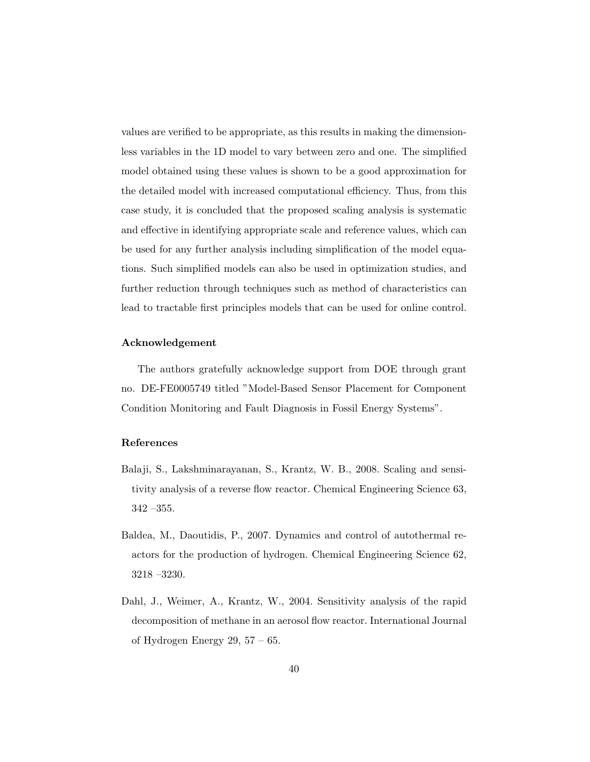values are verified to be appropriate, as this results in making the dimensionless variables in the 1D model to vary between zero and one. The simplified model obtained using these values is shown to be a good approximation for the detailed model with increased computational efficiency. Thus, from this case study, it is concluded that the proposed scaling analysis is systematic and effective in identifying appropriate scale and reference values, which can be used for any further analysis including simplification of the model equations. Such simplified models can also be used in optimization studies, and further reduction through techniques such as method of characteristics can lead to tractable first principles models that can be used for online control.

### **Acknowledgement**

The authors gratefully acknowledge support from DOE through grant no. DE-FE0005749 titled "Model-Based Sensor Placement for Component Condition Monitoring and Fault Diagnosis in Fossil Energy Systems".

## **References**

- Balaji, S., Lakshminarayanan, S., Krantz, W. B., 2008. Scaling and sensitivity analysis of a reverse flow reactor. Chemical Engineering Science 63, 342 –355.
- Baldea, M., Daoutidis, P., 2007. Dynamics and control of autothermal reactors for the production of hydrogen. Chemical Engineering Science 62, 3218 –3230.
- Dahl, J., Weimer, A., Krantz, W., 2004. Sensitivity analysis of the rapid decomposition of methane in an aerosol flow reactor. International Journal of Hydrogen Energy 29,  $57 - 65$ .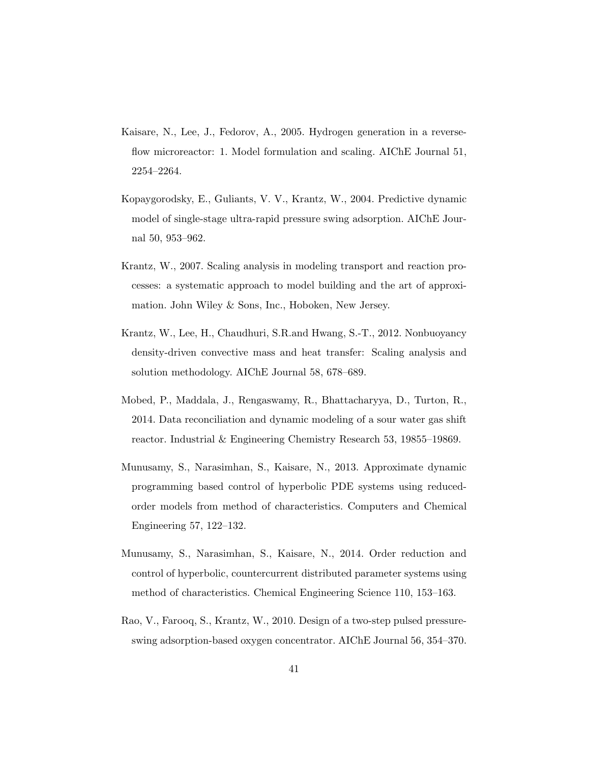- Kaisare, N., Lee, J., Fedorov, A., 2005. Hydrogen generation in a reverseflow microreactor: 1. Model formulation and scaling. AIChE Journal 51, 2254–2264.
- Kopaygorodsky, E., Guliants, V. V., Krantz, W., 2004. Predictive dynamic model of single-stage ultra-rapid pressure swing adsorption. AIChE Journal 50, 953–962.
- Krantz, W., 2007. Scaling analysis in modeling transport and reaction processes: a systematic approach to model building and the art of approximation. John Wiley & Sons, Inc., Hoboken, New Jersey.
- Krantz, W., Lee, H., Chaudhuri, S.R.and Hwang, S.-T., 2012. Nonbuoyancy density-driven convective mass and heat transfer: Scaling analysis and solution methodology. AIChE Journal 58, 678–689.
- Mobed, P., Maddala, J., Rengaswamy, R., Bhattacharyya, D., Turton, R., 2014. Data reconciliation and dynamic modeling of a sour water gas shift reactor. Industrial & Engineering Chemistry Research 53, 19855–19869.
- Munusamy, S., Narasimhan, S., Kaisare, N., 2013. Approximate dynamic programming based control of hyperbolic PDE systems using reducedorder models from method of characteristics. Computers and Chemical Engineering 57, 122–132.
- Munusamy, S., Narasimhan, S., Kaisare, N., 2014. Order reduction and control of hyperbolic, countercurrent distributed parameter systems using method of characteristics. Chemical Engineering Science 110, 153–163.
- Rao, V., Farooq, S., Krantz, W., 2010. Design of a two-step pulsed pressureswing adsorption-based oxygen concentrator. AIChE Journal 56, 354–370.